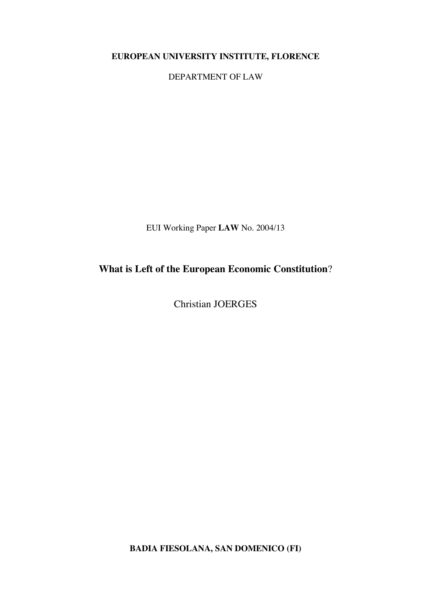**EUROPEAN UNIVERSITY INSTITUTE, FLORENCE**

DEPARTMENT OF LAW

EUI Working Paper **LAW** No. 2004/13

## **What is Left of the European Economic Constitution**?

Christian JOERGES

**BADIA FIESOLANA, SAN DOMENICO (FI)**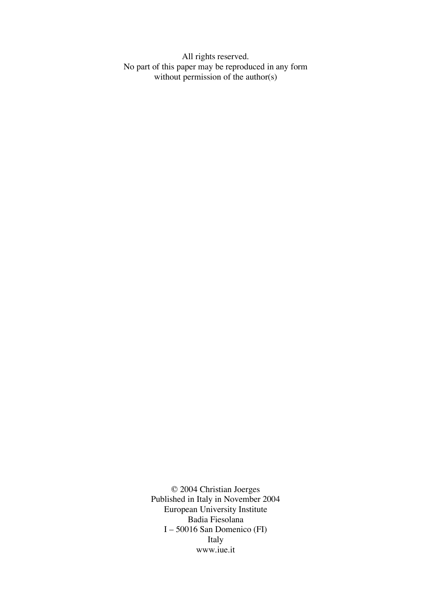All rights reserved. No part of this paper may be reproduced in any form without permission of the author(s)

> © 2004 Christian Joerges Published in Italy in November 2004 European University Institute Badia Fiesolana I – 50016 San Domenico (FI) Italy www.iue.it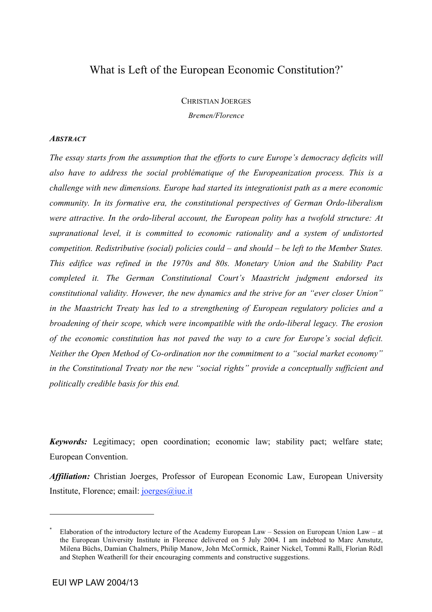## What is Left of the European Economic Constitution?*\**

CHRISTIAN JOERGES

*Bremen/Florence*

#### *ABSTRACT*

*The essay starts from the assumption that the efforts to cure Europe's democracy deficits will also have to address the social problématique of the Europeanization process. This is a challenge with new dimensions. Europe had started its integrationist path as a mere economic community. In its formative era, the constitutional perspectives of German Ordo-liberalism were attractive. In the ordo-liberal account, the European polity has a twofold structure: At supranational level, it is committed to economic rationality and a system of undistorted competition. Redistributive (social) policies could – and should – be left to the Member States. This edifice was refined in the 1970s and 80s. Monetary Union and the Stability Pact completed it. The German Constitutional Court's Maastricht judgment endorsed its constitutional validity. However, the new dynamics and the strive for an "ever closer Union" in the Maastricht Treaty has led to a strengthening of European regulatory policies and a broadening of their scope, which were incompatible with the ordo-liberal legacy. The erosion of the economic constitution has not paved the way to a cure for Europe's social deficit. Neither the Open Method of Co-ordination nor the commitment to a "social market economy" in the Constitutional Treaty nor the new "social rights" provide a conceptually sufficient and politically credible basis for this end.*

*Keywords:* Legitimacy; open coordination; economic law; stability pact; welfare state; European Convention.

*Affiliation:* Christian Joerges, Professor of European Economic Law, European University Institute, Florence; email: joerges@iue.it

<sup>\*</sup> Elaboration of the introductory lecture of the Academy European Law – Session on European Union Law – at the European University Institute in Florence delivered on 5 July 2004. I am indebted to Marc Amstutz, Milena Büchs, Damian Chalmers, Philip Manow, John McCormick, Rainer Nickel, Tommi Ralli, Florian Rödl and Stephen Weatherill for their encouraging comments and constructive suggestions.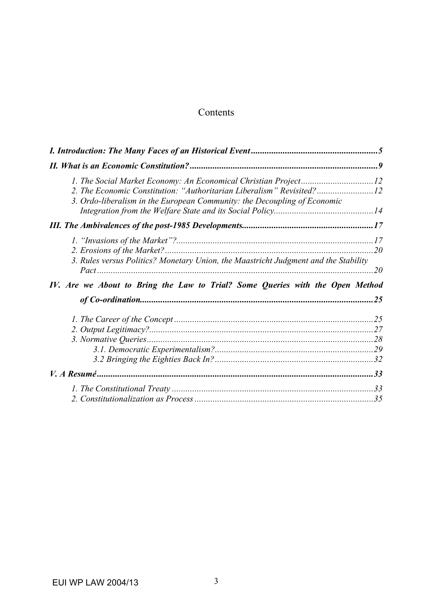## Contents

| 2. The Economic Constitution: "Authoritarian Liberalism" Revisited?<br>3. Ordo-liberalism in the European Community: the Decoupling of Economic |    |
|-------------------------------------------------------------------------------------------------------------------------------------------------|----|
|                                                                                                                                                 |    |
|                                                                                                                                                 |    |
| 3. Rules versus Politics? Monetary Union, the Maastricht Judgment and the Stability                                                             | 20 |
|                                                                                                                                                 | 20 |
| IV. Are we About to Bring the Law to Trial? Some Queries with the Open Method                                                                   |    |
|                                                                                                                                                 |    |
|                                                                                                                                                 |    |
|                                                                                                                                                 |    |
|                                                                                                                                                 |    |
|                                                                                                                                                 |    |
|                                                                                                                                                 |    |
|                                                                                                                                                 |    |
|                                                                                                                                                 |    |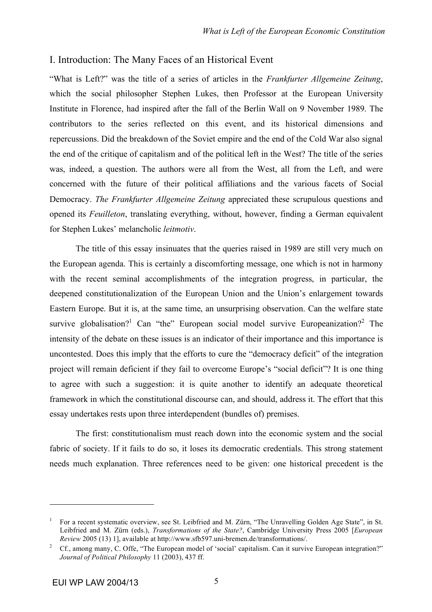## I. Introduction: The Many Faces of an Historical Event

"What is Left?" was the title of a series of articles in the *Frankfurter Allgemeine Zeitung*, which the social philosopher Stephen Lukes, then Professor at the European University Institute in Florence, had inspired after the fall of the Berlin Wall on 9 November 1989. The contributors to the series reflected on this event, and its historical dimensions and repercussions. Did the breakdown of the Soviet empire and the end of the Cold War also signal the end of the critique of capitalism and of the political left in the West? The title of the series was, indeed, a question. The authors were all from the West, all from the Left, and were concerned with the future of their political affiliations and the various facets of Social Democracy. *The Frankfurter Allgemeine Zeitung* appreciated these scrupulous questions and opened its *Feuilleton*, translating everything, without, however, finding a German equivalent for Stephen Lukes' melancholic *leitmotiv*.

The title of this essay insinuates that the queries raised in 1989 are still very much on the European agenda. This is certainly a discomforting message, one which is not in harmony with the recent seminal accomplishments of the integration progress, in particular, the deepened constitutionalization of the European Union and the Union's enlargement towards Eastern Europe. But it is, at the same time, an unsurprising observation. Can the welfare state survive globalisation?<sup>1</sup> Can "the" European social model survive Europeanization?<sup>2</sup> The intensity of the debate on these issues is an indicator of their importance and this importance is uncontested. Does this imply that the efforts to cure the "democracy deficit" of the integration project will remain deficient if they fail to overcome Europe's "social deficit"? It is one thing to agree with such a suggestion: it is quite another to identify an adequate theoretical framework in which the constitutional discourse can, and should, address it. The effort that this essay undertakes rests upon three interdependent (bundles of) premises.

The first: constitutionalism must reach down into the economic system and the social fabric of society. If it fails to do so, it loses its democratic credentials. This strong statement needs much explanation. Three references need to be given: one historical precedent is the

<sup>&</sup>lt;sup>1</sup> For a recent systematic overview, see St. Leibfried and M. Zürn, "The Unravelling Golden Age State", in St. Leibfried and M. Zürn (eds.), *Transformations of the State?*, Cambridge University Press 2005 [*European Review* 2005 (13) 1], available at http://www.sfb597.uni-bremen.de/transformations/.

<sup>&</sup>lt;sup>2</sup> Cf., among many, C. Offe, "The European model of 'social' capitalism. Can it survive European integration?" *Journal of Political Philosophy* 11 (2003), 437 ff.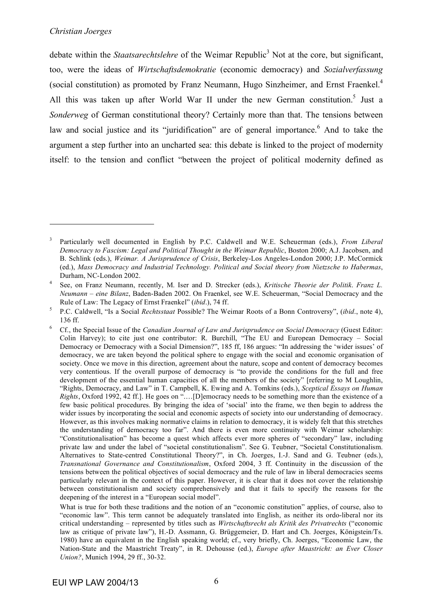$\overline{a}$ 

debate within the *Staatsarechtslehre* of the Weimar Republic <sup>3</sup> Not at the core, but significant, too, were the ideas of *Wirtschaftsdemokratie* (economic democracy) and *Sozialverfassung* (social constitution) as promoted by Franz Neumann, Hugo Sinzheimer, and Ernst Fraenkel. 4 All this was taken up after World War II under the new German constitution.<sup>5</sup> Just a *Sonderweg* of German constitutional theory? Certainly more than that. The tensions between law and social justice and its "juridification" are of general importance.<sup>6</sup> And to take the argument a step further into an uncharted sea: this debate is linked to the project of modernity itself: to the tension and conflict "between the project of political modernity defined as

<sup>3</sup> Particularly well documented in English by P.C. Caldwell and W.E. Scheuerman (eds.), *From Liberal Democracy to Fascism: Legal and Political Thought in the Weimar Republic*, Boston 2000; A.J. Jacobsen, and B. Schlink (eds.), *Weimar. A Jurisprudence of Crisis*, Berkeley-Los Angeles-London 2000; J.P. McCormick (ed.), *Mass Democracy and Industrial Technology. Political and Social theory from Nietzsche to Habermas*, Durham, NC-London 2002.

<sup>4</sup> See, on Franz Neumann, recently, M. Iser and D. Strecker (eds.), *Kritische Theorie der Politik*. *Franz L. Neumann – eine Bilanz*, Baden-Baden 2002. On Fraenkel, see W.E. Scheuerman, "Social Democracy and the Rule of Law: The Legacy of Ernst Fraenkel" (*ibid*.), 74 ff.

<sup>5</sup> P.C. Caldwell, "Is a Social *Rechtsstaat* Possible? The Weimar Roots of a Bonn Controversy", (*ibid*., note 4), 136 ff.

<sup>6</sup> Cf., the Special Issue of the *Canadian Journal of Law and Jurisprudence on Social Democracy* (Guest Editor: Colin Harvey); to cite just one contributor: R. Burchill, "The EU and European Democracy *–* Social Democracy or Democracy with a Social Dimension?", 185 ff, 186 argues: "In addressing the 'wider issues' of democracy, we are taken beyond the political sphere to engage with the social and economic organisation of society. Once we move in this direction, agreement about the nature, scope and content of democracy becomes very contentious. If the overall purpose of democracy is "to provide the conditions for the full and free development of the essential human capacities of all the members of the society" [referring to M Loughlin, "Rights, Democracy, and Law" in T. Campbell, K. Ewing and A. Tomkins (eds.), *Sceptical Essays on Human Rights*, Oxford 1992, 42 ff.]. He goes on ".…[D]emocracy needs to be something more than the existence of a few basic political procedures. By bringing the idea of 'social' into the frame, we then begin to address the wider issues by incorporating the social and economic aspects of society into our understanding of democracy. However, as this involves making normative claims in relation to democracy, it is widely felt that this stretches the understanding of democracy too far". And there is even more continuity with Weimar scholarship: "Constitutionalisation" has become a quest which affects ever more spheres of "secondary" law, including private law and under the label of "societal constitutionalism". See G. Teubner, "Societal Constitutionalism. Alternatives to State-centred Constitutional Theory?", in Ch. Joerges, I.-J. Sand and G. Teubner (eds.), *Transnational Governance and Constitutionalism*, Oxford 2004, 3 ff. Continuity in the discussion of the tensions between the political objectives of social democracy and the rule of law in liberal democracies seems particularly relevant in the context of this paper. However, it is clear that it does not cover the relationship between constitutionalism and society comprehensively and that it fails to specify the reasons for the deepening of the interest in a "European social model".

What is true for both these traditions and the notion of an "economic constitution" applies, of course, also to "economic law". This term cannot be adequately translated into English, as neither its ordo-liberal nor its critical understanding *–* represented by titles such as *Wirtschaftsrecht als Kritik des Privatrechts* ("economic law as critique of private law"), H.-D. Assmann, G. Brüggemeier, D. Hart and Ch. Joerges, Königstein/Ts. 1980) have an equivalent in the English speaking world; cf., very briefly, Ch. Joerges, "Economic Law, the Nation-State and the Maastricht Treaty", in R. Dehousse (ed.), *Europe after Maastricht: an Ever Closer Union?*, Munich 1994, 29 ff., 30-32.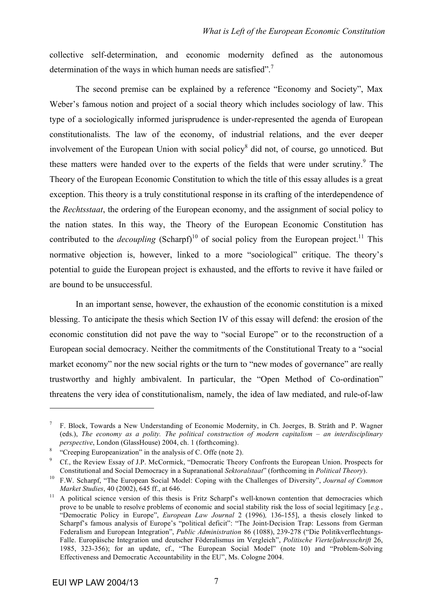collective self-determination, and economic modernity defined as the autonomous determination of the ways in which human needs are satisfied".<sup>7</sup>

The second premise can be explained by a reference "Economy and Society", Max Weber's famous notion and project of a social theory which includes sociology of law. This type of a sociologically informed jurisprudence is under-represented the agenda of European constitutionalists. The law of the economy, of industrial relations, and the ever deeper involvement of the European Union with social policy <sup>8</sup> did not, of course, go unnoticed. But these matters were handed over to the experts of the fields that were under scrutiny.<sup>9</sup> The Theory of the European Economic Constitution to which the title of this essay alludes is a great exception. This theory is a truly constitutional response in its crafting of the interdependence of the *Rechtsstaat*, the ordering of the European economy, and the assignment of social policy to the nation states. In this way, the Theory of the European Economic Constitution has contributed to the *decoupling* (Scharpf)<sup>10</sup> of social policy from the European project.<sup>11</sup> This normative objection is, however, linked to a more "sociological" critique. The theory's potential to guide the European project is exhausted, and the efforts to revive it have failed or are bound to be unsuccessful.

In an important sense, however, the exhaustion of the economic constitution is a mixed blessing. To anticipate the thesis which Section IV of this essay will defend: the erosion of the economic constitution did not pave the way to "social Europe" or to the reconstruction of a European social democracy. Neither the commitments of the Constitutional Treaty to a "social market economy" nor the new social rights or the turn to "new modes of governance" are really trustworthy and highly ambivalent. In particular, the "Open Method of Co-ordination" threatens the very idea of constitutionalism, namely, the idea of law mediated, and rule-of-law

<sup>7</sup> F. Block, Towards a New Understanding of Economic Modernity, in Ch. Joerges, B. Stråth and P. Wagner (eds.), *The economy as a polity. The political construction of modern capitalism – an interdisciplinary perspective*, London (GlassHouse) 2004, ch. 1 (forthcoming).

<sup>&</sup>lt;sup>8</sup> "Creeping Europeanization" in the analysis of C. Offe (note 2).

<sup>9</sup> Cf., the Review Essay of J.P. McCormick, "Democratic Theory Confronts the European Union. Prospects for Constitutional and Social Democracy in a Supranational *Sektoralstaat*" (forthcoming in *Political Theory*).

<sup>10</sup> F.W. Scharpf, "The European Social Model: Coping with the Challenges of Diversity", *Journal of Common Market Studies*, 40 (2002), 645 ff., at 646.

<sup>&</sup>lt;sup>11</sup> A political science version of this thesis is Fritz Scharpf's well-known contention that democracies which prove to be unable to resolve problems of economic and social stability risk the loss of social legitimacy [*e.g.*, "Democratic Policy in Europe", *European Law Journal* 2 (1996)*,* 136-155], a thesis closely linked to Scharpf's famous analysis of Europe's "political deficit": "The Joint-Decision Trap: Lessons from German Federalism and European Integration", *Public Administration* 86 (1088), 239-278 ("Die Politikverflechtungs-Falle. Europäische Integration und deutscher Föderalismus im Vergleich", *Politische Vierteljahresschrift* 26, 1985, 323-356); for an update, cf., "The European Social Model" (note 10) and "Problem-Solving Effectiveness and Democratic Accountability in the EU", Ms. Cologne 2004.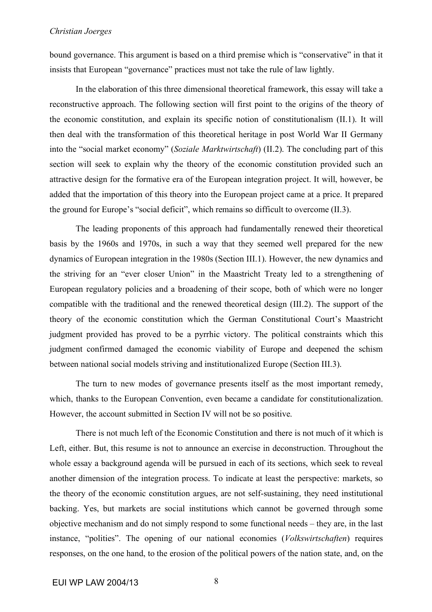bound governance. This argument is based on a third premise which is "conservative" in that it insists that European "governance" practices must not take the rule of law lightly.

In the elaboration of this three dimensional theoretical framework, this essay will take a reconstructive approach. The following section will first point to the origins of the theory of the economic constitution, and explain its specific notion of constitutionalism (II.1). It will then deal with the transformation of this theoretical heritage in post World War II Germany into the "social market economy" (*Soziale Marktwirtschaft*) (II.2). The concluding part of this section will seek to explain why the theory of the economic constitution provided such an attractive design for the formative era of the European integration project. It will, however, be added that the importation of this theory into the European project came at a price. It prepared the ground for Europe's "social deficit", which remains so difficult to overcome (II.3).

The leading proponents of this approach had fundamentally renewed their theoretical basis by the 1960s and 1970s, in such a way that they seemed well prepared for the new dynamics of European integration in the 1980s (Section III.1). However, the new dynamics and the striving for an "ever closer Union" in the Maastricht Treaty led to a strengthening of European regulatory policies and a broadening of their scope, both of which were no longer compatible with the traditional and the renewed theoretical design (III.2). The support of the theory of the economic constitution which the German Constitutional Court's Maastricht judgment provided has proved to be a pyrrhic victory. The political constraints which this judgment confirmed damaged the economic viability of Europe and deepened the schism between national social models striving and institutionalized Europe (Section III.3).

The turn to new modes of governance presents itself as the most important remedy, which, thanks to the European Convention, even became a candidate for constitutionalization. However, the account submitted in Section IV will not be so positive.

There is not much left of the Economic Constitution and there is not much of it which is Left, either. But, this resume is not to announce an exercise in deconstruction. Throughout the whole essay a background agenda will be pursued in each of its sections, which seek to reveal another dimension of the integration process. To indicate at least the perspective: markets, so the theory of the economic constitution argues, are not self-sustaining, they need institutional backing. Yes, but markets are social institutions which cannot be governed through some objective mechanism and do not simply respond to some functional needs – they are, in the last instance, "polities". The opening of our national economies (*Volkswirtschaften*) requires responses, on the one hand, to the erosion of the political powers of the nation state, and, on the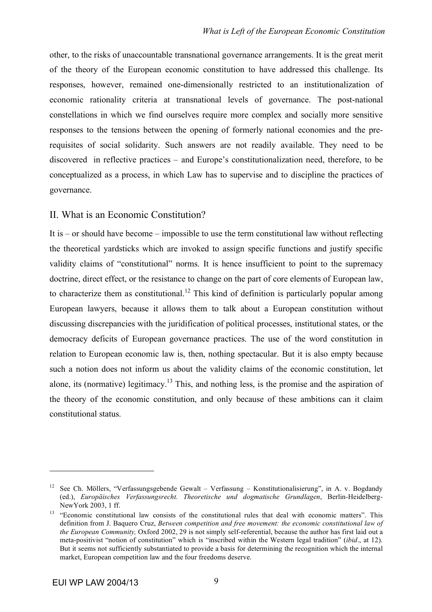other, to the risks of unaccountable transnational governance arrangements. It is the great merit of the theory of the European economic constitution to have addressed this challenge. Its responses, however, remained one-dimensionally restricted to an institutionalization of economic rationality criteria at transnational levels of governance. The post-national constellations in which we find ourselves require more complex and socially more sensitive responses to the tensions between the opening of formerly national economies and the prerequisites of social solidarity. Such answers are not readily available. They need to be discovered in reflective practices – and Europe's constitutionalization need, therefore, to be conceptualized as a process, in which Law has to supervise and to discipline the practices of governance.

## II. What is an Economic Constitution?

It is – or should have become – impossible to use the term constitutional law without reflecting the theoretical yardsticks which are invoked to assign specific functions and justify specific validity claims of "constitutional" norms. It is hence insufficient to point to the supremacy doctrine, direct effect, or the resistance to change on the part of core elements of European law, to characterize them as constitutional.<sup>12</sup> This kind of definition is particularly popular among European lawyers, because it allows them to talk about a European constitution without discussing discrepancies with the juridification of political processes, institutional states, or the democracy deficits of European governance practices. The use of the word constitution in relation to European economic law is, then, nothing spectacular. But it is also empty because such a notion does not inform us about the validity claims of the economic constitution, let alone, its (normative) legitimacy.<sup>13</sup> This, and nothing less, is the promise and the aspiration of the theory of the economic constitution, and only because of these ambitions can it claim constitutional status.

<sup>&</sup>lt;sup>12</sup> See Ch. Möllers, "Verfassungsgebende Gewalt – Verfassung – Konstitutionalisierung", in A. v. Bogdandy (ed.), *Europäisches Verfassungsrecht. Theoretische und dogmatische Grundlagen*, Berlin-Heidelberg-NewYork 2003, 1 ff.

<sup>&</sup>lt;sup>13</sup> "Economic constitutional law consists of the constitutional rules that deal with economic matters". This definition from J. Baquero Cruz, *Between competition and free movement: the economic constitutional law of the European Community,* Oxford 2002, 29 is not simply self-referential, because the author has first laid out a meta-positivist "notion of constitution" which is "inscribed within the Western legal tradition" (*ibid*., at 12). But it seems not sufficiently substantiated to provide a basis for determining the recognition which the internal market, European competition law and the four freedoms deserve.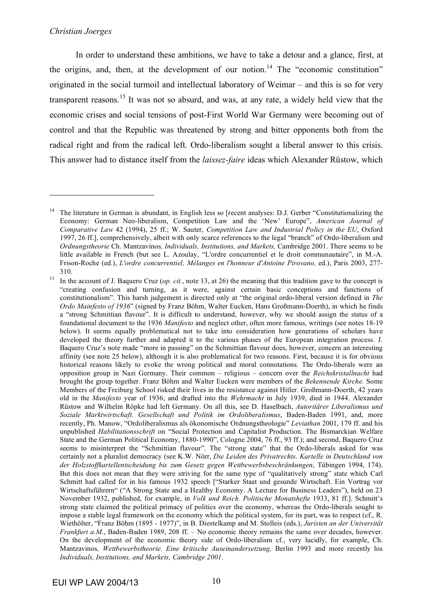$\overline{a}$ 

In order to understand these ambitions, we have to take a detour and a glance, first, at the origins, and, then, at the development of our notion.<sup>14</sup> The "economic constitution" originated in the social turmoil and intellectual laboratory of Weimar – and this is so for very transparent reasons.<sup>15</sup> It was not so absurd, and was, at any rate, a widely held view that the economic crises and social tensions of post-First World War Germany were becoming out of control and that the Republic was threatened by strong and bitter opponents both from the radical right and from the radical left. Ordo-liberalism sought a liberal answer to this crisis. This answer had to distance itself from the *laissez-faire* ideas which Alexander Rüstow, which

<sup>&</sup>lt;sup>14</sup> The literature in German is abundant, in English less so [recent analyses: D.J. Gerber "Constitutionalizing the Economy: German Neo-liberalism, Competition Law and the 'New' Europe", *American Journal of Comparative Law* 42 (1994), 25 ff.; W. Sauter, *Competition Law and Industrial Policy in the EU*, Oxford 1997, 26 ff.], comprehensively, albeit with only scarce references to the legal "branch" of Ordo-liberalism and *Ordnungstheorie* Ch. Mantzavinos*, Individuals, Institutions, and Markets,* Cambridge 2001. There seems to be little available in French (but see L. Azoulay, "L'ordre concurrentiel et le droit communautaire", in M.-A. Frison-Roche (ed.), *L'ordre concurrentiel, Mélanges en l'honneur d'Antoine Pirovano,* ed.), Paris 2003, 277- 310.

<sup>&</sup>lt;sup>15</sup> In the account of J. Baquero Cruz (*op. cit.*, note 13, at 26) the meaning that this tradition gave to the concept is "creating confusion and turning, as it were, against certain basic conceptions and functions of constitutionalism". This harsh judgement is directed only at "the original ordo-liberal version defined in *The Ordo Mainfesto of 1936*" (signed by Franz Böhm, Walter Eucken, Hans Großmann-Doerth), in which he finds a "strong Schmittian flavour". It is difficult to understand, however, why we should assign the status of a foundational document to the 1936 *Manifesto* and neglect other, often more famous, writings (see notes 18-19 below). It seems equally problematical not to take into consideration how generations of scholars have developed the theory further and adapted it to the various phases of the European integration process. J. Baquero Cruz's note made "more in passing" on the Schmittian flavour does, however, concern an interesting affinity (see note 25 below), although it is also problematical for two reasons. First, because it is for obvious historical reasons likely to evoke the wrong political and moral connotations. The Ordo-liberals were an opposition group in Nazi Germany. Their common – religious – concern over the *Reichskristallnacht* had brought the group together. Franz Böhm and Walter Eucken were members of the *Bekennende Kirche.* Some Members of the Freiburg School risked their lives in the resistance against Hitler. Großmann-Doerth, 42 years old in the *Manifesto* year of 1936, and drafted into the *Wehrmacht* in July 1939, died in 1944. Alexander Rüstow and Wilhelm Röpke had left Germany. On all this, see D. Haselbach, *Autoritärer Liberalismus und Soziale Marktwirtschaft. Gesellschaft und Politik im Ordoliberalismus*, Baden-Baden 1991, and, more recently, Ph. Manow, "Ordoliberalismus als ökonomische Ordnungstheologie" *Leviathan* 2001, 179 ff. and his unpublished *Habilitationsschrift* on "Social Protection and Capitalist Production. The Bismarckian Welfare State and the German Political Economy, 1880-1990", Cologne 2004, 76 ff., 93 ff.); and second, Baquero Cruz seems to misinterpret the "Schmittian flavour". The "strong state" that the Ordo-liberals asked for was certainly not a pluralist democracy (see K.W. Nörr, *Die Leiden des Privatrechts. Kartelle in Deutschland von der Holzstoffkartellentscheidung bis zum Gesetz gegen Wettbewerbsbeschränkungen*, Tübingen 1994, 174). But this does not mean that they were striving for the same type of "qualitatively strong" state which Carl Schmitt had called for in his famous 1932 speech ["Starker Staat und gesunde Wirtschaft. Ein Vortrag vor Wirtschaftsführern" ("A Strong State and a Healthy Economy. A Lecture for Business Leaders"), held on 23 November 1932, published, for example, in *Volk und Reich. Politische Monatshefte* 1933, 81 ff.]. Schmitt's strong state claimed the political primacy of politics over the economy, whereas the Ordo-liberals sought to impose a stable legal framework on the economy which the political system, for its part, was to respect (cf., R. Wiethölter, "Franz Böhm (1895 - 1977)", in B. Diestelkamp and M. Stolleis (eds.), *Juristen an der Universität Frankfurt a.M*., Baden-Baden 1989, 208 ff. – No economic theory remains the same over decades, however. On the development of the economic theory side of Ordo-liberalism cf., very lucidly, for example, Ch. Mantzavinos*, Wettbewerbstheorie. Eine kritische Auseinandersetzung,* Berlin 1993 and more recently his *Individuals, Institutions, and Markets, Cambridge 2001*.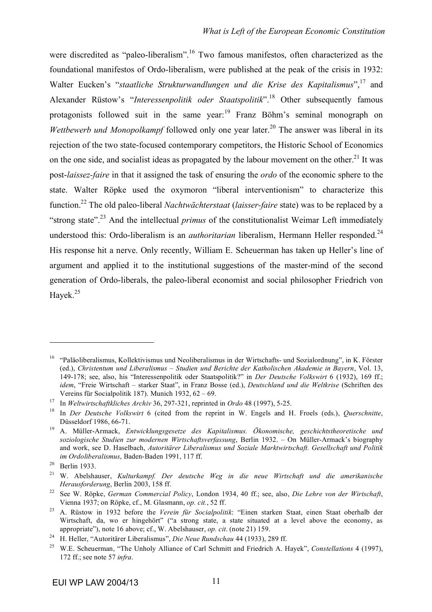were discredited as "paleo-liberalism".<sup>16</sup> Two famous manifestos, often characterized as the foundational manifestos of Ordo-liberalism, were published at the peak of the crisis in 1932: Walter Eucken's "*staatliche Strukturwandlungen und die Krise des Kapitalismus*", <sup>17</sup> and Alexander Rüstow's "*Interessenpolitik oder Staatspolitik*". <sup>18</sup> Other subsequently famous protagonists followed suit in the same year:<sup>19</sup> Franz Böhm's seminal monograph on Wettbewerb und Monopolkampf followed only one year later.<sup>20</sup> The answer was liberal in its rejection of the two state-focused contemporary competitors, the Historic School of Economics on the one side, and socialist ideas as propagated by the labour movement on the other.<sup>21</sup> It was post-*laissez-faire* in that it assigned the task of ensuring the *ordo* of the economic sphere to the state. Walter Röpke used the oxymoron "liberal interventionism" to characterize this function.22 The old paleo-liberal *Nachtwächterstaat* (*laisser-faire* state) was to be replaced by a "strong state".<sup>23</sup> And the intellectual *primus* of the constitutionalist Weimar Left immediately understood this: Ordo-liberalism is an *authoritarian* liberalism, Hermann Heller responded.<sup>24</sup> His response hit a nerve. Only recently, William E. Scheuerman has taken up Heller's line of argument and applied it to the institutional suggestions of the master-mind of the second generation of Ordo-liberals, the paleo-liberal economist and social philosopher Friedrich von Hayek. $^{25}$ 

<sup>&</sup>lt;sup>16</sup> "Paläoliberalismus, Kollektivismus und Neoliberalismus in der Wirtschafts- und Sozialordnung", in K. Förster (ed.), *Christentum und Liberalismus – Studien und Berichte der Katholischen Akademie in Bayern*, Vol. 13, 149-178; see, also, his "Interessenpolitik oder Staatspolitik?" in *Der Deutsche Volkswirt* 6 (1932), 169 ff.; *idem*, "Freie Wirtschaft – starker Staat", in Franz Bosse (ed.), *Deutschland und die Weltkrise* (Schriften des Vereins für Socialpolitik 187). Munich 1932, 62 – 69.

<sup>17</sup> In *Weltwirtschaftkliches Archiv* 36, 297-321, reprinted in *Ordo* 48 (1997), 5-25.

<sup>18</sup> In *Der Deutsche Volkswirt* 6 (cited from the reprint in W. Engels and H. Froels (eds.), *Querschnitte*, Düsseldorf 1986, 66-71.

<sup>19</sup> A. Müller-Armack, *Entwicklungsgesetze des Kapitalismus. Ökonomische, geschichtstheoretische und soziologische Studien zur modernen Wirtschaftsverfassung*, Berlin 1932. – On Müller-Armack's biography and work, see D. Haselbach, *Autoritärer Liberalismus und Soziale Marktwirtschaft. Gesellschaft und Politik im Ordoliberalismus*, Baden-Baden 1991, 117 ff.

<sup>20</sup> Berlin 1933.

<sup>21</sup> W. Abelshauser, *Kulturkampf. Der deutsche Weg in die neue Wirtschaft und die amerikanische Herausforderung*, Berlin 2003, 158 ff.

<sup>22</sup> See W. Röpke, *German Commercial Policy*, London 1934, 40 ff.; see, also, *Die Lehre von der Wirtschaft*, Vienna 1937; on Röpke, cf., M. Glasmann, *op. cit.*, 52 ff.

<sup>23</sup> A. Rüstow in 1932 before the *Verein für Socialpolitik*: "Einen starken Staat, einen Staat oberhalb der Wirtschaft, da, wo er hingehört" ("a strong state, a state situated at a level above the economy, as appropriate"), note 16 above; cf., W. Abelshauser, *op. cit*. (note 21) 159.

<sup>24</sup> H. Heller, "Autoritärer Liberalismus", *Die Neue Rundschau* 44 (1933), 289 ff.

<sup>25</sup> W.E. Scheuerman, "The Unholy Alliance of Carl Schmitt and Friedrich A. Hayek", *Constellations* 4 (1997), 172 ff.; see note 57 *infra*.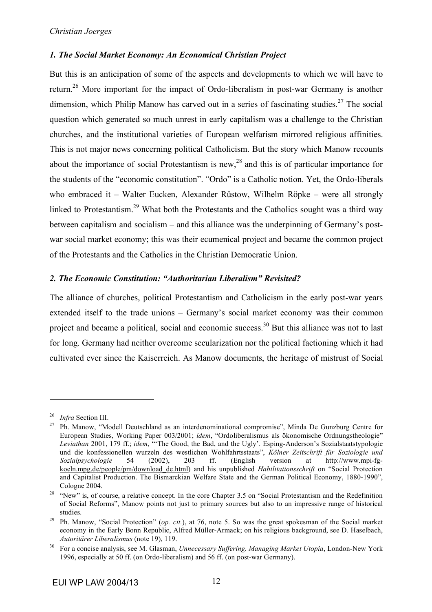## *1. The Social Market Economy: An Economical Christian Project*

But this is an anticipation of some of the aspects and developments to which we will have to return.26 More important for the impact of Ordo-liberalism in post-war Germany is another dimension, which Philip Manow has carved out in a series of fascinating studies.<sup>27</sup> The social question which generated so much unrest in early capitalism was a challenge to the Christian churches, and the institutional varieties of European welfarism mirrored religious affinities. This is not major news concerning political Catholicism. But the story which Manow recounts about the importance of social Protestantism is new,  $28$  and this is of particular importance for the students of the "economic constitution". "Ordo" is a Catholic notion. Yet, the Ordo-liberals who embraced it – Walter Eucken, Alexander Rüstow, Wilhelm Röpke – were all strongly linked to Protestantism.<sup>29</sup> What both the Protestants and the Catholics sought was a third way between capitalism and socialism – and this alliance was the underpinning of Germany's postwar social market economy; this was their ecumenical project and became the common project of the Protestants and the Catholics in the Christian Democratic Union.

### *2. The Economic Constitution: "Authoritarian Liberalism" Revisited?*

The alliance of churches, political Protestantism and Catholicism in the early post-war years extended itself to the trade unions – Germany's social market economy was their common project and became a political, social and economic success.<sup>30</sup> But this alliance was not to last for long. Germany had neither overcome secularization nor the political factioning which it had cultivated ever since the Kaiserreich. As Manow documents, the heritage of mistrust of Social

<sup>26</sup> *Infra* Section III.

<sup>&</sup>lt;sup>27</sup> Ph. Manow, "Modell Deutschland as an interdenominational compromise", Minda De Gunzburg Centre for European Studies, Working Paper 003/2001; *idem*, "Ordoliberalismus als ökonomische Ordnungstheologie" *Leviathan* 2001, 179 ff.; *idem*, "'The Good, the Bad, and the Ugly'. Esping-Anderson's Sozialstaatstypologie und die konfessionellen wurzeln des westlichen Wohlfahrtsstaats", *Kölner Zeitschrift für Soziologie und Sozialpsychologie* 54 (2002), 203 ff. (English version at http://www.mpi-fgkoeln.mpg.de/people/pm/download\_de.html) and his unpublished *Habilitationsschrift* on "Social Protection and Capitalist Production. The Bismarckian Welfare State and the German Political Economy, 1880-1990", Cologne 2004.

<sup>&</sup>lt;sup>28</sup> "New" is, of course, a relative concept. In the core Chapter 3.5 on "Social Protestantism and the Redefinition of Social Reforms", Manow points not just to primary sources but also to an impressive range of historical studies.

<sup>29</sup> Ph. Manow, "Social Protection" (*op. cit.*), at 76, note 5. So was the great spokesman of the Social market economy in the Early Bonn Republic, Alfred Müller-Armack; on his religious background, see D. Haselbach, *Autoritärer Liberalismus* (note 19), 119.

<sup>30</sup> For a concise analysis, see M. Glasman, *Unnecessary Suffering. Managing Market Utopia*, London-New York 1996, especially at 50 ff. (on Ordo-liberalism) and 56 ff. (on post-war Germany).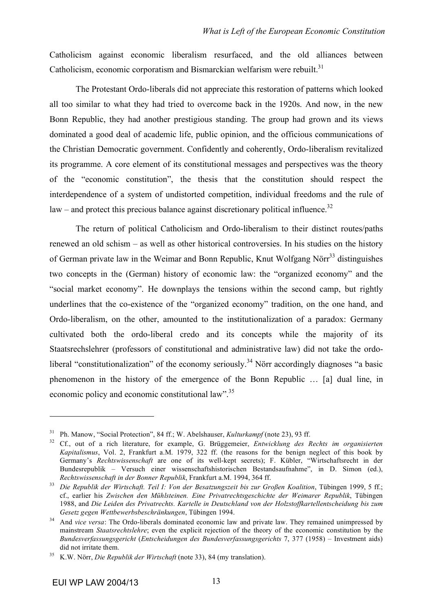Catholicism against economic liberalism resurfaced, and the old alliances between Catholicism, economic corporatism and Bismarckian welfarism were rebuilt.<sup>31</sup>

The Protestant Ordo-liberals did not appreciate this restoration of patterns which looked all too similar to what they had tried to overcome back in the 1920s. And now, in the new Bonn Republic, they had another prestigious standing. The group had grown and its views dominated a good deal of academic life, public opinion, and the officious communications of the Christian Democratic government. Confidently and coherently, Ordo-liberalism revitalized its programme. A core element of its constitutional messages and perspectives was the theory of the "economic constitution", the thesis that the constitution should respect the interdependence of a system of undistorted competition, individual freedoms and the rule of law – and protect this precious balance against discretionary political influence.<sup>32</sup>

The return of political Catholicism and Ordo-liberalism to their distinct routes/paths renewed an old schism – as well as other historical controversies. In his studies on the history of German private law in the Weimar and Bonn Republic, Knut Wolfgang Nörr<sup>33</sup> distinguishes two concepts in the (German) history of economic law: the "organized economy" and the "social market economy". He downplays the tensions within the second camp, but rightly underlines that the co-existence of the "organized economy" tradition, on the one hand, and Ordo-liberalism, on the other, amounted to the institutionalization of a paradox: Germany cultivated both the ordo-liberal credo and its concepts while the majority of its Staatsrechslehrer (professors of constitutional and administrative law) did not take the ordoliberal "constitutionalization" of the economy seriously.<sup>34</sup> Nörr accordingly diagnoses "a basic phenomenon in the history of the emergence of the Bonn Republic … [a] dual line, in economic policy and economic constitutional law".<sup>35</sup>

<sup>31</sup> Ph. Manow, "Social Protection", 84 ff.; W. Abelshauser, *Kulturkampf* (note 23), 93 ff.

<sup>32</sup> Cf., out of a rich literature, for example, G. Brüggemeier, *Entwicklung des Rechts im organisierten Kapitalismus*, Vol. 2, Frankfurt a.M. 1979, 322 ff. (the reasons for the benign neglect of this book by Germany's *Rechtswissenschaft* are one of its well-kept secrets); F. Kübler, "Wirtschaftsrecht in der Bundesrepublik – Versuch einer wissenschaftshistorischen Bestandsaufnahme", in D. Simon (ed.), *Rechtswissenschaft in der Bonner Republik*, Frankfurt a.M. 1994, 364 ff.

<sup>33</sup> *Die Republik der Wirtschaft. Teil I: Von der Besatzungszeit bis zur Großen Koalition*, Tübingen 1999, 5 ff.; cf., earlier his *Zwischen den Mühlsteinen. Eine Privatrechtsgeschichte der Weimarer Republik*, Tübingen 1988, and *Die Leiden des Privatrechts. Kartelle in Deutschland von der Holzstoffkartellentscheidung bis zum Gesetz gegen Wettbewerbsbeschränkungen*, Tübingen 1994.

<sup>&</sup>lt;sup>34</sup> And *vice versa*: The Ordo-liberals dominated economic law and private law. They remained unimpressed by mainstream *Staatsrechtslehre*; even the explicit rejection of the theory of the economic constitution by the *Bundesverfassungsgericht* (*Entscheidungen des Bundesverfassungsgerichts* 7, 377 (1958) – Investment aids) did not irritate them.

<sup>35</sup> K.W. Nörr, *Die Republik der Wirtschaft* (note 33), 84 (my translation).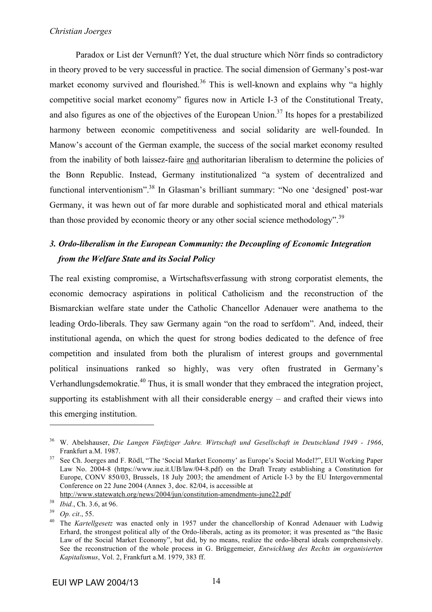Paradox or List der Vernunft? Yet, the dual structure which Nörr finds so contradictory in theory proved to be very successful in practice. The social dimension of Germany's post-war market economy survived and flourished.<sup>36</sup> This is well-known and explains why "a highly competitive social market economy" figures now in Article I-3 of the Constitutional Treaty, and also figures as one of the objectives of the European Union.<sup>37</sup> Its hopes for a prestabilized harmony between economic competitiveness and social solidarity are well-founded. In Manow's account of the German example, the success of the social market economy resulted from the inability of both laissez-faire and authoritarian liberalism to determine the policies of the Bonn Republic. Instead, Germany institutionalized "a system of decentralized and functional interventionism".<sup>38</sup> In Glasman's brilliant summary: "No one 'designed' post-war Germany, it was hewn out of far more durable and sophisticated moral and ethical materials than those provided by economic theory or any other social science methodology".<sup>39</sup>

## *3. Ordo-liberalism in the European Community: the Decoupling of Economic Integration from the Welfare State and its Social Policy*

The real existing compromise, a Wirtschaftsverfassung with strong corporatist elements, the economic democracy aspirations in political Catholicism and the reconstruction of the Bismarckian welfare state under the Catholic Chancellor Adenauer were anathema to the leading Ordo-liberals. They saw Germany again "on the road to serfdom". And, indeed, their institutional agenda, on which the quest for strong bodies dedicated to the defence of free competition and insulated from both the pluralism of interest groups and governmental political insinuations ranked so highly, was very often frustrated in Germany's Verhandlungsdemokratie.<sup>40</sup> Thus, it is small wonder that they embraced the integration project, supporting its establishment with all their considerable energy – and crafted their views into this emerging institution.

<sup>36</sup> W. Abelshauser, *Die Langen Fünfziger Jahre. Wirtschaft und Gesellschaft in Deutschland 1949 - 1966*, Frankfurt a.M. 1987.

<sup>&</sup>lt;sup>37</sup> See Ch. Joerges and F. Rödl, "The 'Social Market Economy' as Europe's Social Model?", EUI Working Paper Law No. 2004-8 (https://www.iue.it.UB/law/04-8.pdf) on the Draft Treaty establishing a Constitution for Europe, CONV 850/03, Brussels, 18 July 2003; the amendment of Article I-3 by the EU Intergovernmental Conference on 22 June 2004 (Annex 3, doc. 82/04, is accessible at

http://www.statewatch.org/news/2004/jun/constitution-amendments-june22.pdf

<sup>38</sup> *Ibid.*, Ch. 3.6, at 96.

<sup>39</sup> *Op. cit*., 55.

<sup>40</sup> The *Kartellgesetz* was enacted only in 1957 under the chancellorship of Konrad Adenauer with Ludwig Erhard, the strongest political ally of the Ordo-liberals, acting as its promotor; it was presented as "the Basic Law of the Social Market Economy", but did, by no means, realize the ordo-liberal ideals comprehensively. See the reconstruction of the whole process in G. Brüggemeier, *Entwicklung des Rechts im organisierten Kapitalismus*, Vol. 2, Frankfurt a.M. 1979, 383 ff.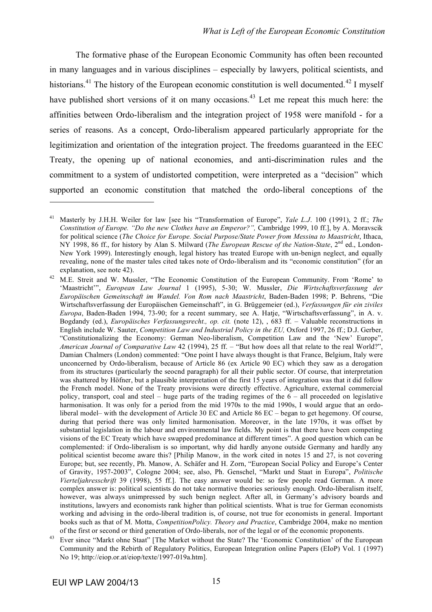The formative phase of the European Economic Community has often been recounted in many languages and in various disciplines – especially by lawyers, political scientists, and historians.<sup>41</sup> The history of the European economic constitution is well documented.<sup>42</sup> I myself have published short versions of it on many occasions.<sup>43</sup> Let me repeat this much here: the affinities between Ordo-liberalism and the integration project of 1958 were manifold - for a series of reasons. As a concept, Ordo-liberalism appeared particularly appropriate for the legitimization and orientation of the integration project. The freedoms guaranteed in the EEC Treaty, the opening up of national economies, and anti-discrimination rules and the commitment to a system of undistorted competition, were interpreted as a "decision" which supported an economic constitution that matched the ordo-liberal conceptions of the

<sup>41</sup> Masterly by J.H.H. Weiler for law [see his "Transformation of Europe", *Yale L.J*. 100 (1991), 2 ff.; *The Constitution of Europe. "Do the new Clothes have an Emperor?",* Cambridge 1999, 10 ff.], by A. Moravscik for political science (*The Choice for Europe. Social Purpose/State Power from Messina to Maastricht*, Ithaca, NY 1998, 86 ff., for history by Alan S. Milward (*The European Rescue of the Nation-State*, 2nd ed., London-New York 1999). Interestingly enough, legal history has treated Europe with un-benign neglect, and equally revealing, none of the master tales cited takes note of Ordo-liberalism and its "economic constitution" (for an explanation, see note 42).

<sup>&</sup>lt;sup>42</sup> M.E. Streit and W. Mussler, "The Economic Constitution of the European Community. From 'Rome' to 'Maastricht'", *European Law Journal* 1 (1995), 5-30; W. Mussler, *Die Wirtschaftsverfassung der Europäischen Gemeinschaft im Wandel. Von Rom nach Maastricht*, Baden-Baden 1998; P. Behrens, "Die Wirtschaftsverfassung der Europäischen Gemeinschaft", in G. Brüggemeier (ed.), *Verfassungen für ein ziviles Europa*, Baden-Baden 1994, 73-90; for a recent summary, see A. Hatje, "Wirtschaftsverfassung", in A. v. Bogdandy (ed.), *Europäisches Verfassungsrecht., op. cit.* (note 12), , 683 ff. – Valuable reconstructions in English include W. Sauter, *Competition Law and Industrial Policy in the EU,* Oxford 1997, 26 ff.; D.J. Gerber, "Constitutionalizing the Economy: German Neo-liberalism, Competition Law and the 'New' Europe", *American Journal of Comparative Law* 42 (1994), 25 ff. – "But how does all that relate to the real World?", Damian Chalmers (London) commented: "One point I have always thought is that France, Belgium, Italy were unconcerned by Ordo-liberalism, because of Article 86 (ex Article 90 EC) which they saw as a derogation from its structures (particularly the seocnd paragraph) for all their public sector. Of course, that interpretation was shattered by Höfner, but a plausible interpretation of the first 15 years of integration was that it did follow the French model. None of the Treaty provisions were directly effective. Agriculture, external commercial policy, transport, coal and steel *–* huge parts of the trading regimes of the 6 *–* all proceeded on legislative harmonisation. It was only for a period from the mid 1970s to the mid 1990s, I would argue that an ordoliberal model*–* with the development of Article 30 EC and Article 86 EC – began to get hegemony. Of course, during that period there was only limited harmonisation. Moreover, in the late 1970s, it was offset by substantial legislation in the labour and environmental law fields. My point is that there have been competing visions of the EC Treaty which have swapped predominance at different times". A good question which can be complemented: if Ordo-liberalism is so important, why did hardly anyone outside Germany and hardly any political scientist become aware this? [Philip Manow, in the work cited in notes 15 and 27, is not covering Europe; but, see recently, Ph. Manow, A. Schäfer and H. Zorn, "European Social Policy and Europe's Center of Gravity, 1957-2003", Cologne 2004; see, also, Ph. Genschel, "Markt und Staat in Europa", *Politische Vierteljahresschrift* 39 (1998), 55 ff.]. The easy answer would be: so few people read German. A more complex answer is: political scientists do not take normative theories seriously enough. Ordo-liberalism itself, however, was always unimpressed by such benign neglect. After all, in Germany's advisory boards and institutions, lawyers and economists rank higher than political scientists. What is true for German economists working and advising in the ordo-liberal tradition is, of course, not true for economists in general. Important books such as that of M. Motta, *CompetitionPolicy. Theory and Practice*, Cambridge 2004, make no mention of the first or second or third generation of Ordo-liberals, nor of the legal or of the economic proponents.

<sup>43</sup> Ever since "Markt ohne Staat" [The Market without the State? The 'Economic Constitution' of the European Community and the Rebirth of Regulatory Politics, European Integration online Papers (EIoP) Vol. 1 (1997) No 19; http://eiop.or.at/eiop/texte/1997-019a.htm].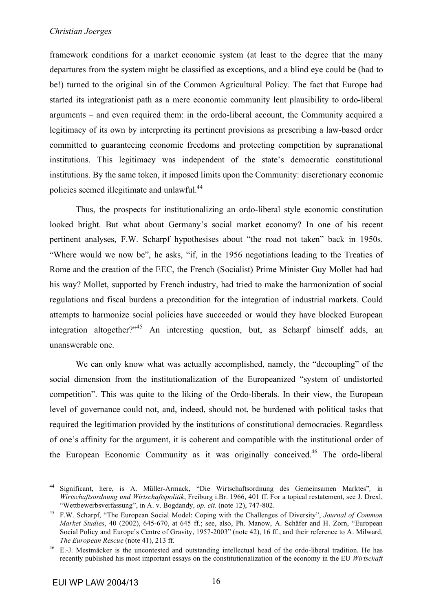#### *Christian Joerges*

framework conditions for a market economic system (at least to the degree that the many departures from the system might be classified as exceptions, and a blind eye could be (had to be!) turned to the original sin of the Common Agricultural Policy. The fact that Europe had started its integrationist path as a mere economic community lent plausibility to ordo-liberal arguments – and even required them: in the ordo-liberal account, the Community acquired a legitimacy of its own by interpreting its pertinent provisions as prescribing a law-based order committed to guaranteeing economic freedoms and protecting competition by supranational institutions. This legitimacy was independent of the state's democratic constitutional institutions. By the same token, it imposed limits upon the Community: discretionary economic policies seemed illegitimate and unlawful.<sup>44</sup>

Thus, the prospects for institutionalizing an ordo-liberal style economic constitution looked bright. But what about Germany's social market economy? In one of his recent pertinent analyses, F.W. Scharpf hypothesises about "the road not taken" back in 1950s. "Where would we now be", he asks, "if, in the 1956 negotiations leading to the Treaties of Rome and the creation of the EEC, the French (Socialist) Prime Minister Guy Mollet had had his way? Mollet, supported by French industry, had tried to make the harmonization of social regulations and fiscal burdens a precondition for the integration of industrial markets. Could attempts to harmonize social policies have succeeded or would they have blocked European integration altogether?"<sup>45</sup> An interesting question, but, as Scharpf himself adds, an unanswerable one.

We can only know what was actually accomplished, namely, the "decoupling" of the social dimension from the institutionalization of the Europeanized "system of undistorted competition". This was quite to the liking of the Ordo-liberals. In their view, the European level of governance could not, and, indeed, should not, be burdened with political tasks that required the legitimation provided by the institutions of constitutional democracies. Regardless of one's affinity for the argument, it is coherent and compatible with the institutional order of the European Economic Community as it was originally conceived.<sup>46</sup> The ordo-liberal

<sup>44</sup> Significant, here, is A. Müller-Armack, "Die Wirtschaftsordnung des Gemeinsamen Marktes"*,* in *Wirtschaftsordnung und Wirtschaftspolitik*, Freiburg i.Br. 1966, 401 ff. For a topical restatement, see J. Drexl, "Wettbewerbsverfassung", in A. v. Bogdandy, *op. cit.* (note 12), 747-802.

<sup>45</sup> F.W. Scharpf, "The European Social Model: Coping with the Challenges of Diversity", *Journal of Common Market Studies*, 40 (2002), 645-670, at 645 ff.; see, also, Ph. Manow, A. Schäfer and H. Zorn, "European Social Policy and Europe's Centre of Gravity, 1957-2003" (note 42), 16 ff., and their reference to A. Milward, *The European Rescue* (note 41), 213 ff.

<sup>46</sup> E.-J. Mestmäcker is the uncontested and outstanding intellectual head of the ordo-liberal tradition. He has recently published his most important essays on the constitutionalization of the economy in the EU *Wirtschaft*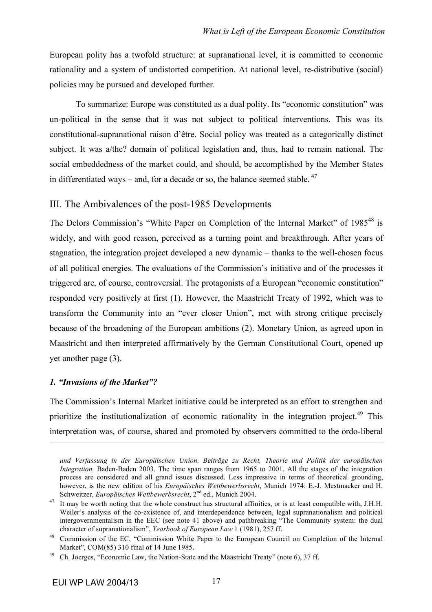European polity has a twofold structure: at supranational level, it is committed to economic rationality and a system of undistorted competition. At national level, re-distributive (social) policies may be pursued and developed further.

To summarize: Europe was constituted as a dual polity. Its "economic constitution" was un-political in the sense that it was not subject to political interventions. This was its constitutional-supranational raison d'être. Social policy was treated as a categorically distinct subject. It was a/the? domain of political legislation and, thus, had to remain national. The social embeddedness of the market could, and should, be accomplished by the Member States in differentiated ways – and, for a decade or so, the balance seemed stable.  $47$ 

## III. The Ambivalences of the post-1985 Developments

The Delors Commission's "White Paper on Completion of the Internal Market" of 1985<sup>48</sup> is widely, and with good reason, perceived as a turning point and breakthrough. After years of stagnation, the integration project developed a new dynamic – thanks to the well-chosen focus of all political energies. The evaluations of the Commission's initiative and of the processes it triggered are, of course, controversial. The protagonists of a European "economic constitution" responded very positively at first (1). However, the Maastricht Treaty of 1992, which was to transform the Community into an "ever closer Union", met with strong critique precisely because of the broadening of the European ambitions (2). Monetary Union, as agreed upon in Maastricht and then interpreted affirmatively by the German Constitutional Court, opened up yet another page (3).

#### *1. "Invasions of the Market"?*

 $\overline{a}$ 

The Commission's Internal Market initiative could be interpreted as an effort to strengthen and prioritize the institutionalization of economic rationality in the integration project.<sup>49</sup> This interpretation was, of course, shared and promoted by observers committed to the ordo-liberal

*und Verfassung in der Europäischen Union. Beiträge zu Recht, Theorie und Politik der europäischen Integration*, Baden-Baden 2003. The time span ranges from 1965 to 2001. All the stages of the integration process are considered and all grand issues discussed. Less impressive in terms of theoretical grounding, however, is the new edition of his *Europäisches Wettbewerbsrecht*, Munich 1974: E.-J. Mestmacker and H. Schweitzer, *Europäisches Wettbewerbsrecht*, 2nd ed., Munich 2004.

 $47$  It may be worth noting that the whole construct has structural affinities, or is at least compatible with, J.H.H. Weiler's analysis of the co-existence of, and interdependence between, legal supranationalism and political intergovernmentalism in the EEC (see note 41 above) and pathbreaking "The Community system: the dual character of supranationalism", *Yearbook of European Law* 1 (1981), 257 ff.

<sup>48</sup> Commission of the EC, "Commission White Paper to the European Council on Completion of the Internal Market", COM(85) 310 final of 14 June 1985.

<sup>&</sup>lt;sup>49</sup> Ch. Joerges, "Economic Law, the Nation-State and the Maastricht Treaty" (note 6), 37 ff.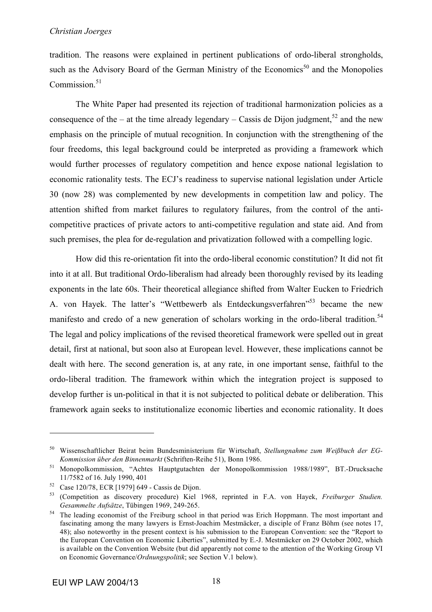tradition. The reasons were explained in pertinent publications of ordo-liberal strongholds, such as the Advisory Board of the German Ministry of the Economics<sup>50</sup> and the Monopolies Commission $51$ 

The White Paper had presented its rejection of traditional harmonization policies as a consequence of the – at the time already legendary – Cassis de Dijon judgment,<sup>52</sup> and the new emphasis on the principle of mutual recognition. In conjunction with the strengthening of the four freedoms, this legal background could be interpreted as providing a framework which would further processes of regulatory competition and hence expose national legislation to economic rationality tests. The ECJ's readiness to supervise national legislation under Article 30 (now 28) was complemented by new developments in competition law and policy. The attention shifted from market failures to regulatory failures, from the control of the anticompetitive practices of private actors to anti-competitive regulation and state aid. And from such premises, the plea for de-regulation and privatization followed with a compelling logic.

How did this re-orientation fit into the ordo-liberal economic constitution? It did not fit into it at all. But traditional Ordo-liberalism had already been thoroughly revised by its leading exponents in the late 60s. Their theoretical allegiance shifted from Walter Eucken to Friedrich A. von Hayek. The latter's "Wettbewerb als Entdeckungsverfahren"<sup>53</sup> became the new manifesto and credo of a new generation of scholars working in the ordo-liberal tradition.<sup>54</sup> The legal and policy implications of the revised theoretical framework were spelled out in great detail, first at national, but soon also at European level. However, these implications cannot be dealt with here. The second generation is, at any rate, in one important sense, faithful to the ordo-liberal tradition. The framework within which the integration project is supposed to develop further is un-political in that it is not subjected to political debate or deliberation. This framework again seeks to institutionalize economic liberties and economic rationality. It does

<sup>50</sup> Wissenschaftlicher Beirat beim Bundesministerium für Wirtschaft, *Stellungnahme zum Weißbuch der EG-Kommission über den Binnenmarkt* (Schriften-Reihe 51), Bonn 1986.

<sup>51</sup> Monopolkommission, "Achtes Hauptgutachten der Monopolkommission 1988/1989", BT.-Drucksache 11/7582 of 16. July 1990, 401

<sup>52</sup> Case 120/78, ECR [1979] 649 - Cassis de Dijon.

<sup>53</sup> (Competition as discovery procedure) Kiel 1968, reprinted in F.A. von Hayek, *Freiburger Studien. Gesammelte Aufsätze*, Tübingen 1969, 249-265.

<sup>&</sup>lt;sup>54</sup> The leading economist of the Freiburg school in that period was Erich Hoppmann. The most important and fascinating among the many lawyers is Ernst-Joachim Mestmäcker, a disciple of Franz Böhm (see notes 17, 48); also noteworthy in the present context is his submission to the European Convention: see the "Report to the European Convention on Economic Liberties", submitted by E.-J. Mestmäcker on 29 October 2002, which is available on the Convention Website (but did apparently not come to the attention of the Working Group VI on Economic Governance/*Ordnungspolitik*; see Section V.1 below).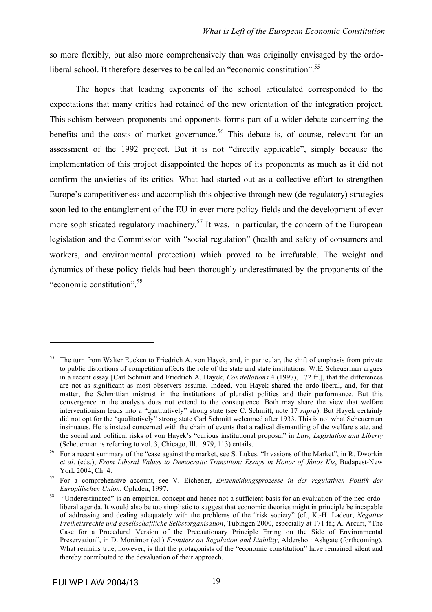so more flexibly, but also more comprehensively than was originally envisaged by the ordoliberal school. It therefore deserves to be called an "economic constitution".<sup>55</sup>

The hopes that leading exponents of the school articulated corresponded to the expectations that many critics had retained of the new orientation of the integration project. This schism between proponents and opponents forms part of a wider debate concerning the benefits and the costs of market governance.<sup>56</sup> This debate is, of course, relevant for an assessment of the 1992 project. But it is not "directly applicable", simply because the implementation of this project disappointed the hopes of its proponents as much as it did not confirm the anxieties of its critics. What had started out as a collective effort to strengthen Europe's competitiveness and accomplish this objective through new (de-regulatory) strategies soon led to the entanglement of the EU in ever more policy fields and the development of ever more sophisticated regulatory machinery.<sup>57</sup> It was, in particular, the concern of the European legislation and the Commission with "social regulation" (health and safety of consumers and workers, and environmental protection) which proved to be irrefutable. The weight and dynamics of these policy fields had been thoroughly underestimated by the proponents of the "economic constitution".<sup>58</sup>

The turn from Walter Eucken to Friedrich A. von Hayek, and, in particular, the shift of emphasis from private to public distortions of competition affects the role of the state and state institutions. W.E. Scheuerman argues in a recent essay [Carl Schmitt and Friedrich A. Hayek, *Constellations* 4 (1997), 172 ff.], that the differences are not as significant as most observers assume. Indeed, von Hayek shared the ordo-liberal, and, for that matter, the Schmittian mistrust in the institutions of pluralist polities and their performance. But this convergence in the analysis does not extend to the consequence. Both may share the view that welfare interventionism leads into a "qantitatively" strong state (see C. Schmitt, note 17 *supra*). But Hayek certainly did not opt for the "qualitatively" strong state Carl Schmitt welcomed after 1933. This is not what Scheuerman insinuates. He is instead concerned with the chain of events that a radical dismantling of the welfare state, and the social and political risks of von Hayek's "curious institutional proposal" in *Law, Legislation and Liberty* (Scheuerman is referring to vol. 3, Chicago, Ill. 1979, 113) entails.

<sup>&</sup>lt;sup>56</sup> For a recent summary of the "case against the market, see S. Lukes, "Invasions of the Market", in R. Dworkin *et al*. (eds.), *From Liberal Values to Democratic Transition: Essays in Honor of János Kis*, Budapest-New York 2004, Ch. 4.

<sup>57</sup> For a comprehensive account, see V. Eichener, *Entscheidungsprozesse in der regulativen Politik der Europäischen Union*, Opladen, 1997.

<sup>58</sup> "Underestimated" is an empirical concept and hence not a sufficient basis for an evaluation of the neo-ordoliberal agenda. It would also be too simplistic to suggest that economic theories might in principle be incapable of addressing and dealing adequately with the problems of the "risk society" (cf., K.-H. Ladeur, *Negative Freiheitsrechte und gesellschaftliche Selbstorganisation*, Tübingen 2000, especially at 171 ff.; A. Arcuri, "The Case for a Procedural Version of the Precautionary Principle Erring on the Side of Environmental Preservation", in D. Mortimor (ed.) *Frontiers on Regulation and Liability*, Aldershot: Ashgate (forthcoming). What remains true, however, is that the protagonists of the "economic constitution" have remained silent and thereby contributed to the devaluation of their approach.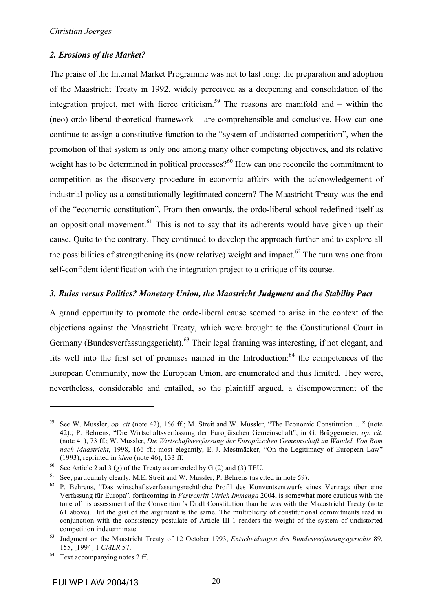## *2. Erosions of the Market?*

The praise of the Internal Market Programme was not to last long: the preparation and adoption of the Maastricht Treaty in 1992, widely perceived as a deepening and consolidation of the integration project, met with fierce criticism.<sup>59</sup> The reasons are manifold and – within the (neo)-ordo-liberal theoretical framework – are comprehensible and conclusive. How can one continue to assign a constitutive function to the "system of undistorted competition", when the promotion of that system is only one among many other competing objectives, and its relative weight has to be determined in political processes?<sup>60</sup> How can one reconcile the commitment to competition as the discovery procedure in economic affairs with the acknowledgement of industrial policy as a constitutionally legitimated concern? The Maastricht Treaty was the end of the "economic constitution". From then onwards, the ordo-liberal school redefined itself as an oppositional movement.<sup>61</sup> This is not to say that its adherents would have given up their cause. Quite to the contrary. They continued to develop the approach further and to explore all the possibilities of strengthening its (now relative) weight and impact.<sup>62</sup> The turn was one from self-confident identification with the integration project to a critique of its course.

## *3. Rules versus Politics? Monetary Union, the Maastricht Judgment and the Stability Pact*

A grand opportunity to promote the ordo-liberal cause seemed to arise in the context of the objections against the Maastricht Treaty, which were brought to the Constitutional Court in Germany (Bundesverfassungsgericht).<sup>63</sup> Their legal framing was interesting, if not elegant, and fits well into the first set of premises named in the Introduction: $64$  the competences of the European Community, now the European Union, are enumerated and thus limited. They were, nevertheless, considerable and entailed, so the plaintiff argued, a disempowerment of the

<sup>59</sup> See W. Mussler, *op. cit* (note 42), 166 ff.; M. Streit and W. Mussler, "The Economic Constitution …" (note 42).; P. Behrens, "Die Wirtschaftsverfassung der Europäischen Gemeinschaft", in G. Brüggemeier, *op. cit.* (note 41), 73 ff*.*; W. Mussler, *Die Wirtschaftsverfassung der Europäischen Gemeinschaft im Wandel. Von Rom nach Maastricht*, 1998, 166 ff*.*; most elegantly, E.-J. Mestmäcker, "On the Legitimacy of European Law" (1993), reprinted in *idem* (note 46), 133 ff.

<sup>&</sup>lt;sup>60</sup> See Article 2 ad 3 (g) of the Treaty as amended by G (2) and (3) TEU.

 $61$  See, particularly clearly, M.E. Streit and W. Mussler; P. Behrens (as cited in note 59).

**<sup>62</sup>** P. Behrens, "Das wirtschaftsverfassungsrechtliche Profil des Konventsentwurfs eines Vertrags über eine Verfassung für Europa", forthcoming in *Festschrift Ulrich Immenga* 2004, is somewhat more cautious with the tone of his assessment of the Convention's Draft Constitution than he was with the Maaastricht Treaty (note 61 above). But the gist of the argument is the same. The multiplicity of constitutional commitments read in conjunction with the consistency postulate of Article III-1 renders the weight of the system of undistorted competition indeterminate.

<sup>63</sup> Judgment on the Maastricht Treaty of 12 October 1993, *Entscheidungen des Bundesverfassungsgerichts* 89, 155, [1994] 1 *CMLR* 57.

<sup>64</sup> Text accompanying notes 2 ff.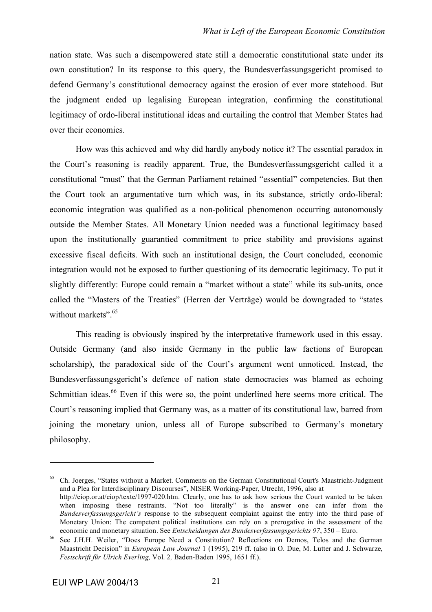nation state. Was such a disempowered state still a democratic constitutional state under its own constitution? In its response to this query, the Bundesverfassungsgericht promised to defend Germany's constitutional democracy against the erosion of ever more statehood. But the judgment ended up legalising European integration, confirming the constitutional legitimacy of ordo-liberal institutional ideas and curtailing the control that Member States had over their economies.

How was this achieved and why did hardly anybody notice it? The essential paradox in the Court's reasoning is readily apparent. True, the Bundesverfassungsgericht called it a constitutional "must" that the German Parliament retained "essential" competencies. But then the Court took an argumentative turn which was, in its substance, strictly ordo-liberal: economic integration was qualified as a non-political phenomenon occurring autonomously outside the Member States. All Monetary Union needed was a functional legitimacy based upon the institutionally guarantied commitment to price stability and provisions against excessive fiscal deficits. With such an institutional design, the Court concluded, economic integration would not be exposed to further questioning of its democratic legitimacy. To put it slightly differently: Europe could remain a "market without a state" while its sub-units, once called the "Masters of the Treaties" (Herren der Verträge) would be downgraded to "states without markets".<sup>65</sup>

This reading is obviously inspired by the interpretative framework used in this essay. Outside Germany (and also inside Germany in the public law factions of European scholarship), the paradoxical side of the Court's argument went unnoticed. Instead, the Bundesverfassungsgericht's defence of nation state democracies was blamed as echoing Schmittian ideas.<sup>66</sup> Even if this were so, the point underlined here seems more critical. The Court's reasoning implied that Germany was, as a matter of its constitutional law, barred from joining the monetary union, unless all of Europe subscribed to Germany's monetary philosophy.

<sup>&</sup>lt;sup>65</sup> Ch. Joerges, "States without a Market. Comments on the German Constitutional Court's Maastricht-Judgment and a Plea for Interdisciplinary Discourses", NISER Working-Paper, Utrecht, 1996, also at http://eiop.or.at/eiop/texte/1997-020.htm. Clearly, one has to ask how serious the Court wanted to be taken when imposing these restraints. "Not too literally" is the answer one can infer from the *Bundesverfassungsgericht's* response to the subsequent complaint against the entry into the third pase of Monetary Union: The competent political institutions can rely on a prerogative in the assessment of the economic and monetary situation. See *Entscheidungen des Bundesverfassungsgerichts 97*, 350 – Euro.

<sup>&</sup>lt;sup>66</sup> See J.H.H. Weiler, "Does Europe Need a Constitution? Reflections on Demos, Telos and the German Maastricht Decision" in *European Law Journal* 1 (1995), 219 ff. (also in O. Due, M. Lutter and J. Schwarze, *Festschrift für Ulrich Everling,* Vol. 2*,* Baden-Baden 1995, 1651 ff.).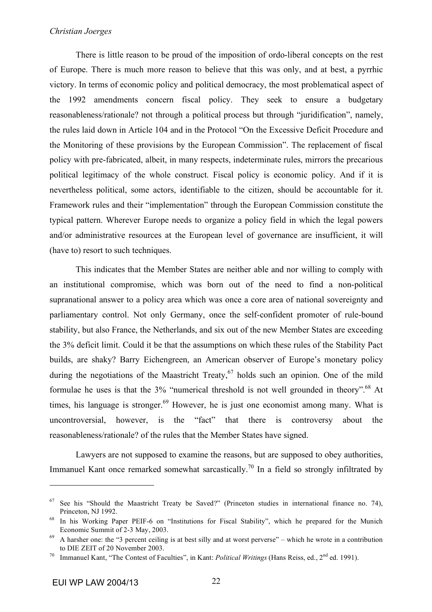#### *Christian Joerges*

There is little reason to be proud of the imposition of ordo-liberal concepts on the rest of Europe. There is much more reason to believe that this was only, and at best, a pyrrhic victory. In terms of economic policy and political democracy, the most problematical aspect of the 1992 amendments concern fiscal policy. They seek to ensure a budgetary reasonableness/rationale? not through a political process but through "juridification", namely, the rules laid down in Article 104 and in the Protocol "On the Excessive Deficit Procedure and the Monitoring of these provisions by the European Commission". The replacement of fiscal policy with pre-fabricated, albeit, in many respects, indeterminate rules, mirrors the precarious political legitimacy of the whole construct. Fiscal policy is economic policy. And if it is nevertheless political, some actors, identifiable to the citizen, should be accountable for it. Framework rules and their "implementation" through the European Commission constitute the typical pattern. Wherever Europe needs to organize a policy field in which the legal powers and/or administrative resources at the European level of governance are insufficient, it will (have to) resort to such techniques.

This indicates that the Member States are neither able and nor willing to comply with an institutional compromise, which was born out of the need to find a non-political supranational answer to a policy area which was once a core area of national sovereignty and parliamentary control. Not only Germany, once the self-confident promoter of rule-bound stability, but also France, the Netherlands, and six out of the new Member States are exceeding the 3% deficit limit. Could it be that the assumptions on which these rules of the Stability Pact builds, are shaky? Barry Eichengreen, an American observer of Europe's monetary policy during the negotiations of the Maastricht Treaty,  $\frac{67}{7}$  holds such an opinion. One of the mild formulae he uses is that the 3% "numerical threshold is not well grounded in theory".<sup>68</sup> At times, his language is stronger.<sup>69</sup> However, he is just one economist among many. What is uncontroversial, however, is the "fact" that there is controversy about the reasonableness/rationale? of the rules that the Member States have signed.

Lawyers are not supposed to examine the reasons, but are supposed to obey authorities, Immanuel Kant once remarked somewhat sarcastically.<sup>70</sup> In a field so strongly infiltrated by

 $67$  See his "Should the Maastricht Treaty be Saved?" (Princeton studies in international finance no. 74), Princeton, NJ 1992.

<sup>68</sup> In his Working Paper PEIF-6 on "Institutions for Fiscal Stability", which he prepared for the Munich Economic Summit of 2-3 May, 2003.

 $69$  A harsher one: the "3 percent ceiling is at best silly and at worst perverse" – which he wrote in a contribution to DIE ZEIT of 20 November 2003.

<sup>70</sup> Immanuel Kant, "The Contest of Faculties", in Kant: *Political Writings* (Hans Reiss, ed., 2nd ed. 1991).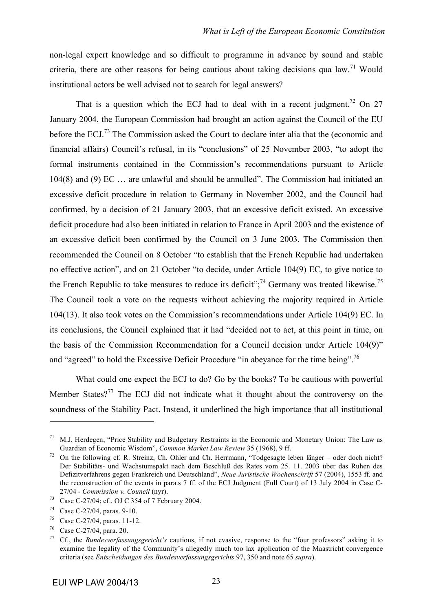non-legal expert knowledge and so difficult to programme in advance by sound and stable criteria, there are other reasons for being cautious about taking decisions qua law.<sup>71</sup> Would institutional actors be well advised not to search for legal answers?

That is a question which the ECJ had to deal with in a recent judgment.<sup>72</sup> On 27 January 2004, the European Commission had brought an action against the Council of the EU before the ECJ.<sup>73</sup> The Commission asked the Court to declare inter alia that the (economic and financial affairs) Council's refusal, in its "conclusions" of 25 November 2003, "to adopt the formal instruments contained in the Commission's recommendations pursuant to Article 104(8) and (9) EC … are unlawful and should be annulled". The Commission had initiated an excessive deficit procedure in relation to Germany in November 2002, and the Council had confirmed, by a decision of 21 January 2003, that an excessive deficit existed. An excessive deficit procedure had also been initiated in relation to France in April 2003 and the existence of an excessive deficit been confirmed by the Council on 3 June 2003. The Commission then recommended the Council on 8 October "to establish that the French Republic had undertaken no effective action", and on 21 October "to decide, under Article 104(9) EC, to give notice to the French Republic to take measures to reduce its deficit";  $^{74}$  Germany was treated likewise.<sup>75</sup> The Council took a vote on the requests without achieving the majority required in Article 104(13). It also took votes on the Commission's recommendations under Article 104(9) EC. In its conclusions, the Council explained that it had "decided not to act, at this point in time, on the basis of the Commission Recommendation for a Council decision under Article 104(9)" and "agreed" to hold the Excessive Deficit Procedure "in abeyance for the time being".<sup>76</sup>

What could one expect the ECJ to do? Go by the books? To be cautious with powerful Member States?<sup>77</sup> The ECJ did not indicate what it thought about the controversy on the soundness of the Stability Pact. Instead, it underlined the high importance that all institutional

<sup>&</sup>lt;sup>71</sup> M.J. Herdegen, "Price Stability and Budgetary Restraints in the Economic and Monetary Union: The Law as Guardian of Economic Wisdom", *Common Market Law Review* 35 (1968), 9 ff.

<sup>72</sup> On the following cf. R. Streinz, Ch. Ohler and Ch. Herrmann, "Todgesagte leben länger – oder doch nicht? Der Stabilitäts- und Wachstumspakt nach dem Beschluß des Rates vom 25. 11. 2003 über das Ruhen des Defizitverfahrens gegen Frankreich und Deutschland", *Neue Juristische Wochenschrift* 57 (2004), 1553 ff. and the reconstruction of the events in para.s 7 ff. of the ECJ Judgment (Full Court) of 13 July 2004 in Case C-27/04 - *Commission v. Council* (nyr).

<sup>73</sup> Case C-27/04; cf., OJ C 354 of 7 February 2004.

<sup>74</sup> Case C-27/04, paras. 9-10.

<sup>75</sup> Case C-27/04, paras. 11-12.

<sup>76</sup> Case C-27/04, para. 20.

<sup>77</sup> Cf., the *Bundesverfassungsgericht's* cautious, if not evasive, response to the "four professors" asking it to examine the legality of the Community's allegedly much too lax application of the Maastricht convergence criteria (see *Entscheidungen des Bundesverfassungsgerichts* 97, 350 and note 65 *supra*).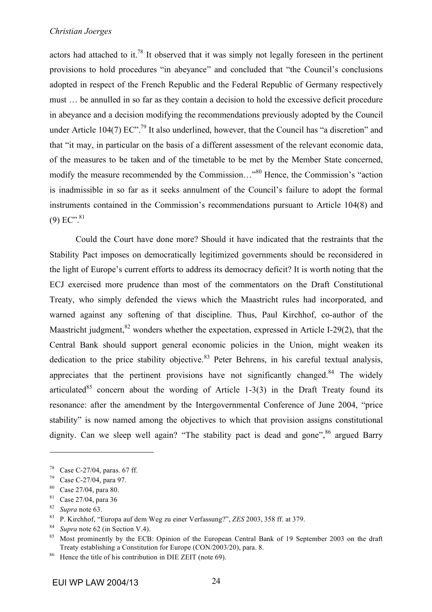actors had attached to it.<sup>78</sup> It observed that it was simply not legally foreseen in the pertinent provisions to hold procedures "in abeyance" and concluded that "the Council's conclusions adopted in respect of the French Republic and the Federal Republic of Germany respectively must … be annulled in so far as they contain a decision to hold the excessive deficit procedure in abeyance and a decision modifying the recommendations previously adopted by the Council under Article 104(7)  $EC$ ".<sup>79</sup> It also underlined, however, that the Council has "a discretion" and that "it may, in particular on the basis of a different assessment of the relevant economic data, of the measures to be taken and of the timetable to be met by the Member State concerned, modify the measure recommended by the Commission…"<sup>80</sup> Hence, the Commission's "action is inadmissible in so far as it seeks annulment of the Council's failure to adopt the formal instruments contained in the Commission's recommendations pursuant to Article 104(8) and  $(9)$  EC".<sup>81</sup>

Could the Court have done more? Should it have indicated that the restraints that the Stability Pact imposes on democratically legitimized governments should be reconsidered in the light of Europe's current efforts to address its democracy deficit? It is worth noting that the ECJ exercised more prudence than most of the commentators on the Draft Constitutional Treaty, who simply defended the views which the Maastricht rules had incorporated, and warned against any softening of that discipline. Thus, Paul Kirchhof, co-author of the Maastricht judgment,<sup>82</sup> wonders whether the expectation, expressed in Article I-29(2), that the Central Bank should support general economic policies in the Union, might weaken its dedication to the price stability objective.<sup>83</sup> Peter Behrens, in his careful textual analysis, appreciates that the pertinent provisions have not significantly changed.<sup>84</sup> The widely articulated<sup>85</sup> concern about the wording of Article 1-3(3) in the Draft Treaty found its resonance: after the amendment by the Intergovernmental Conference of June 2004, "price stability" is now named among the objectives to which that provision assigns constitutional dignity. Can we sleep well again? "The stability pact is dead and gone", argued Barry

<sup>78</sup> Case C-27/04, paras. 67 ff.

<sup>79</sup> Case C-27/04, para 97.

<sup>80</sup> Case 27/04, para 80.

 $81$  Case 27/04, para 36

<sup>82</sup> *Supra* note 63.

<sup>83</sup> P. Kirchhof, "Europa auf dem Weg zu einer Verfassung?", *ZES* 2003, 358 ff. at 379.

<sup>84</sup> *Supra* note 62 (in Section V.4).

<sup>&</sup>lt;sup>85</sup> Most prominently by the ECB: Opinion of the European Central Bank of 19 September 2003 on the draft Treaty establishing a Constitution for Europe (CON/2003/20), para. 8.

<sup>&</sup>lt;sup>86</sup> Hence the title of his contribution in DIE ZEIT (note 69).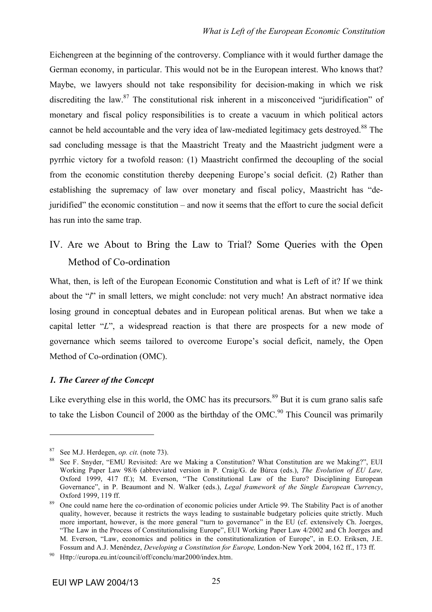Eichengreen at the beginning of the controversy. Compliance with it would further damage the German economy, in particular. This would not be in the European interest. Who knows that? Maybe, we lawyers should not take responsibility for decision-making in which we risk discrediting the law.<sup>87</sup> The constitutional risk inherent in a misconceived "juridification" of monetary and fiscal policy responsibilities is to create a vacuum in which political actors cannot be held accountable and the very idea of law-mediated legitimacy gets destroyed.<sup>88</sup> The sad concluding message is that the Maastricht Treaty and the Maastricht judgment were a pyrrhic victory for a twofold reason: (1) Maastricht confirmed the decoupling of the social from the economic constitution thereby deepening Europe's social deficit. (2) Rather than establishing the supremacy of law over monetary and fiscal policy, Maastricht has "dejuridified" the economic constitution – and now it seems that the effort to cure the social deficit has run into the same trap.

# IV. Are we About to Bring the Law to Trial? Some Queries with the Open Method of Co-ordination

What, then, is left of the European Economic Constitution and what is Left of it? If we think about the "*l*" in small letters, we might conclude: not very much! An abstract normative idea losing ground in conceptual debates and in European political arenas. But when we take a capital letter "*L*", a widespread reaction is that there are prospects for a new mode of governance which seems tailored to overcome Europe's social deficit, namely, the Open Method of Co-ordination (OMC).

## *1. The Career of the Concept*

 $\overline{a}$ 

Like everything else in this world, the OMC has its precursors.<sup>89</sup> But it is cum grano salis safe to take the Lisbon Council of 2000 as the birthday of the OMC.<sup>90</sup> This Council was primarily

See M.J. Herdegen, *op. cit.* (note 73).

<sup>&</sup>lt;sup>88</sup> See F. Snyder, "EMU Revisited: Are we Making a Constitution? What Constitution are we Making?", EUI Working Paper Law 98/6 (abbreviated version in P. Craig/G. de Búrca (eds.), *The Evolution of EU Law,* Oxford 1999, 417 ff.); M. Everson, "The Constitutional Law of the Euro? Disciplining European Governance", in P. Beaumont and N. Walker (eds.), *Legal framework of the Single European Currency*, Oxford 1999, 119 ff.

<sup>&</sup>lt;sup>89</sup> One could name here the co-ordination of economic policies under Article 99. The Stability Pact is of another quality, however, because it restricts the ways leading to sustainable budgetary policies quite strictly. Much more important, however, is the more general "turn to governance" in the EU (cf. extensively Ch. Joerges, "The Law in the Process of Constitutionalising Europe", EUI Working Paper Law 4/2002 and Ch Joerges and M. Everson, "Law, economics and politics in the constitutionalization of Europe", in E.O. Eriksen, J.E. Fossum and A.J. Menéndez, *Developing a Constitution for Europe,* London-New York 2004, 162 ff., 173 ff.

<sup>90</sup> Http://europa.eu.int/council/off/conclu/mar2000/index.htm.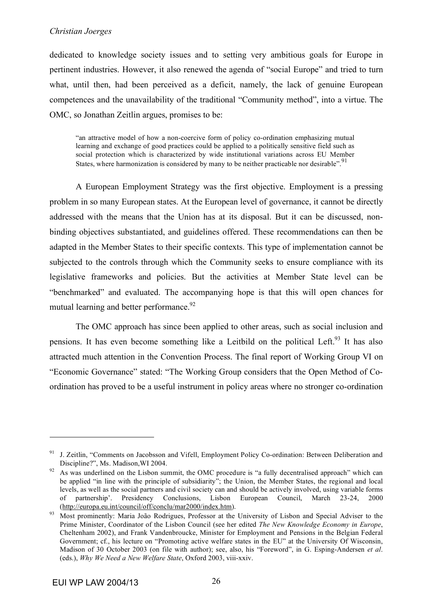#### *Christian Joerges*

dedicated to knowledge society issues and to setting very ambitious goals for Europe in pertinent industries. However, it also renewed the agenda of "social Europe" and tried to turn what, until then, had been perceived as a deficit, namely, the lack of genuine European competences and the unavailability of the traditional "Community method", into a virtue. The OMC, so Jonathan Zeitlin argues, promises to be:

"an attractive model of how a non-coercive form of policy co-ordination emphasizing mutual learning and exchange of good practices could be applied to a politically sensitive field such as social protection which is characterized by wide institutional variations across EU Member States, where harmonization is considered by many to be neither practicable nor desirable".<sup>91</sup>

A European Employment Strategy was the first objective. Employment is a pressing problem in so many European states. At the European level of governance, it cannot be directly addressed with the means that the Union has at its disposal. But it can be discussed, nonbinding objectives substantiated, and guidelines offered. These recommendations can then be adapted in the Member States to their specific contexts. This type of implementation cannot be subjected to the controls through which the Community seeks to ensure compliance with its legislative frameworks and policies. But the activities at Member State level can be "benchmarked" and evaluated. The accompanying hope is that this will open chances for mutual learning and better performance.<sup>92</sup>

The OMC approach has since been applied to other areas, such as social inclusion and pensions. It has even become something like a Leitbild on the political Left.<sup>93</sup> It has also attracted much attention in the Convention Process. The final report of Working Group VI on "Economic Governance" stated: "The Working Group considers that the Open Method of Coordination has proved to be a useful instrument in policy areas where no stronger co-ordination

<sup>&</sup>lt;sup>91</sup> J. Zeitlin, "Comments on Jacobsson and Vifell, Employment Policy Co-ordination: Between Deliberation and Discipline?", Ms. Madison,WI 2004.

 $92$  As was underlined on the Lisbon summit, the OMC procedure is "a fully decentralised approach" which can be applied "in line with the principle of subsidiarity"; the Union, the Member States, the regional and local levels, as well as the social partners and civil society can and should be actively involved, using variable forms of partnership'. Presidency Conclusions, Lisbon European Council, March 23-24, 2000 (http://europa.eu.int/council/off/conclu/mar2000/index.htm).

<sup>&</sup>lt;sup>93</sup> Most prominently: Maria João Rodrigues, Professor at the University of Lisbon and Special Adviser to the Prime Minister, Coordinator of the Lisbon Council (see her edited *The New Knowledge Economy in Europe*, Cheltenham 2002), and Frank Vandenbroucke, Minister for Employment and Pensions in the Belgian Federal Government; cf., his lecture on "Promoting active welfare states in the EU" at the University Of Wisconsin, Madison of 30 October 2003 (on file with author); see, also, his "Foreword", in G. Esping-Andersen *et al*. (eds.), *Why We Need a New Welfare State*, Oxford 2003, viii-xxiv.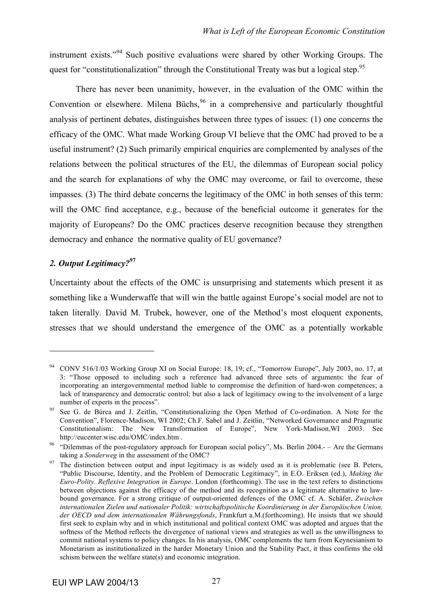instrument exists."<sup>94</sup> Such positive evaluations were shared by other Working Groups. The quest for "constitutionalization" through the Constitutional Treaty was but a logical step.<sup>95</sup>

There has never been unanimity, however, in the evaluation of the OMC within the Convention or elsewhere. Milena Büchs,  $96$  in a comprehensive and particularly thoughtful analysis of pertinent debates, distinguishes between three types of issues: (1) one concerns the efficacy of the OMC. What made Working Group VI believe that the OMC had proved to be a useful instrument? (2) Such primarily empirical enquiries are complemented by analyses of the relations between the political structures of the EU, the dilemmas of European social policy and the search for explanations of why the OMC may overcome, or fail to overcome, these impasses. (3) The third debate concerns the legitimacy of the OMC in both senses of this term: will the OMC find acceptance, e.g., because of the beneficial outcome it generates for the majority of Europeans? Do the OMC practices deserve recognition because they strengthen democracy and enhance the normative quality of EU governance?

## *2. Output Legitimacy?***<sup>97</sup>**

 $\overline{a}$ 

Uncertainty about the effects of the OMC is unsurprising and statements which present it as something like a Wunderwaffe that will win the battle against Europe's social model are not to taken literally. David M. Trubek, however, one of the Method's most eloquent exponents, stresses that we should understand the emergence of the OMC as a potentially workable

<sup>94</sup> CONV 516/1/03 Working Group XI on Social Europe: 18, 19; cf., "Tomorrow Europe", July 2003, no. 17, at 3: "Those opposed to including such a reference had advanced three sets of arguments: the fear of incorporating an intergovernmental method liable to compromise the definition of hard-won competences; a lack of transparency and democratic control; but also a lack of legitimacy owing to the involvement of a large number of experts in the process".

<sup>&</sup>lt;sup>95</sup> See G. de Búrca and J. Zeitlin, "Constitutionalizing the Open Method of Co-ordination. A Note for the Convention", Florence-Madison, WI 2002; Ch.F. Sabel and J. Zeitlin, "Networked Governance and Pragmatic Constitutionalism: The New Transformation of Europe", New York-Madison,WI 2003. See http://eucenter.wisc.edu/OMC/index.htm .

<sup>&</sup>lt;sup>96</sup> "Dilemmas of the post-regulatory approach for European social policy", Ms. Berlin 2004.- – Are the Germans taking a *Sonderweg* in the assessment of the OMC?

<sup>&</sup>lt;sup>97</sup> The distinction between output and input legitimacy is as widely used as it is problematic (see B. Peters, "Public Discourse, Identity, and the Problem of Democratic Legitimacy", in E.O. Eriksen (ed.), *Making the Euro-Polity. Reflexive Integration in Europe*. London (forthcoming). The use in the text refers to distinctions between objections against the efficacy of the method and its recognition as a legitimate alternative to lawbound governance. For a strong critique of output-oriented defences of the OMC cf. A. Schäfer, *Zwischen internationalen Zielen und nationaler Politik: wirtschaftspolitische Koordinierung in der Europäischen Union, der OECD und dem internationalen Währungsfonds*, Frankfurt a.M.(forthcoming). He insists that we should first seek to explain why and in which institutional and political context OMC was adopted and argues that the softness of the Method reflects the divergence of national views and strategies as well as the unwillingness to commit national systems to policy changes. In his analysis, OMC complements the turn from Keynesianism to Monetarism as institutionalized in the harder Monetary Union and the Stability Pact, it thus confirms the old schism between the welfare state(s) and economic integration.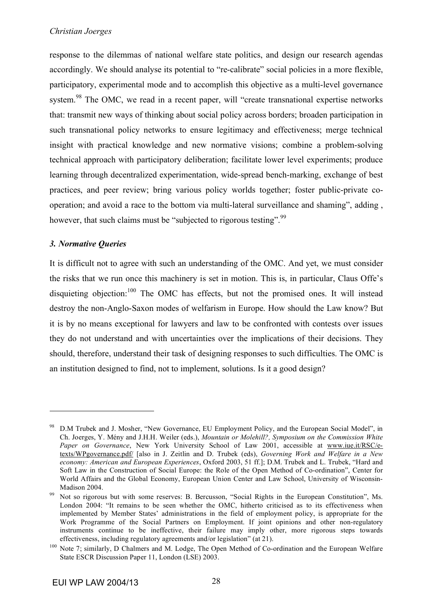#### *Christian Joerges*

response to the dilemmas of national welfare state politics, and design our research agendas accordingly. We should analyse its potential to "re-calibrate" social policies in a more flexible, participatory, experimental mode and to accomplish this objective as a multi-level governance system.<sup>98</sup> The OMC, we read in a recent paper, will "create transnational expertise networks that: transmit new ways of thinking about social policy across borders; broaden participation in such transnational policy networks to ensure legitimacy and effectiveness; merge technical insight with practical knowledge and new normative visions; combine a problem-solving technical approach with participatory deliberation; facilitate lower level experiments; produce learning through decentralized experimentation, wide-spread bench-marking, exchange of best practices, and peer review; bring various policy worlds together; foster public-private cooperation; and avoid a race to the bottom via multi-lateral surveillance and shaming", adding , however, that such claims must be "subjected to rigorous testing".<sup>99</sup>

### *3. Normative Queries*

 $\overline{a}$ 

It is difficult not to agree with such an understanding of the OMC. And yet, we must consider the risks that we run once this machinery is set in motion. This is, in particular, Claus Offe's disquieting objection:<sup>100</sup> The OMC has effects, but not the promised ones. It will instead destroy the non-Anglo-Saxon modes of welfarism in Europe. How should the Law know? But it is by no means exceptional for lawyers and law to be confronted with contests over issues they do not understand and with uncertainties over the implications of their decisions. They should, therefore, understand their task of designing responses to such difficulties. The OMC is an institution designed to find, not to implement, solutions. Is it a good design?

<sup>98</sup> D.M Trubek and J. Mosher, "New Governance, EU Employment Policy, and the European Social Model", in Ch. Joerges, Y. Mény and J.H.H. Weiler (eds.), *Mountain or Molehill?, Symposium on the Commission White Paper on Governance*, New York University School of Law 2001, accessible at www.iue.it/RSC/etexts/WPgovernance.pdf/ [also in J. Zeitlin and D. Trubek (eds), *Governing Work and Welfare in a New economy: American and European Experiences*, Oxford 2003, 51 ff.]; D.M. Trubek and L. Trubek, "Hard and Soft Law in the Construction of Social Europe: the Role of the Open Method of Co-ordination", Center for World Affairs and the Global Economy, European Union Center and Law School, University of Wisconsin-Madison 2004.

<sup>&</sup>lt;sup>99</sup> Not so rigorous but with some reserves: B. Bercusson, "Social Rights in the European Constitution", Ms. London 2004: "It remains to be seen whether the OMC, hitherto criticised as to its effectiveness when implemented by Member States' administrations in the field of employment policy, is appropriate for the Work Programme of the Social Partners on Employment. If joint opinions and other non-regulatory instruments continue to be ineffective, their failure may imply other, more rigorous steps towards effectiveness, including regulatory agreements and/or legislation" (at 21).

<sup>&</sup>lt;sup>100</sup> Note 7; similarly, D Chalmers and M. Lodge, The Open Method of Co-ordination and the European Welfare State ESCR Discussion Paper 11, London (LSE) 2003.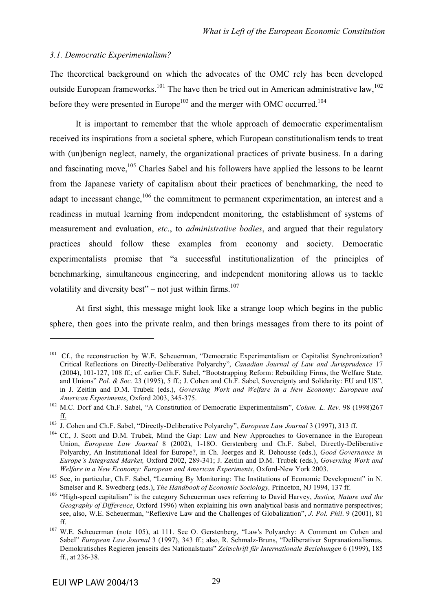### *3.1. Democratic Experimentalism?*

The theoretical background on which the advocates of the OMC rely has been developed outside European frameworks.<sup>101</sup> The have then be tried out in American administrative law,  $102$ before they were presented in Europe<sup>103</sup> and the merger with OMC occurred.<sup>104</sup>

It is important to remember that the whole approach of democratic experimentalism received its inspirations from a societal sphere, which European constitutionalism tends to treat with (un)benign neglect, namely, the organizational practices of private business. In a daring and fascinating move,<sup>105</sup> Charles Sabel and his followers have applied the lessons to be learnt from the Japanese variety of capitalism about their practices of benchmarking, the need to adapt to incessant change, <sup>106</sup> the commitment to permanent experimentation, an interest and a readiness in mutual learning from independent monitoring, the establishment of systems of measurement and evaluation, *etc*., to *administrative bodies*, and argued that their regulatory practices should follow these examples from economy and society. Democratic experimentalists promise that "a successful institutionalization of the principles of benchmarking, simultaneous engineering, and independent monitoring allows us to tackle volatility and diversity best" – not just within firms. $107$ 

At first sight, this message might look like a strange loop which begins in the public sphere, then goes into the private realm, and then brings messages from there to its point of

<sup>&</sup>lt;sup>101</sup> Cf., the reconstruction by W.E. Scheuerman, "Democratic Experimentalism or Capitalist Synchronization? Critical Reflections on Directly-Deliberative Polyarchy", *Canadian Journal of Law and Jurisprudence* 17 (2004), 101-127, 108 ff.; cf. earlier Ch.F. Sabel, "Bootstrapping Reform: Rebuilding Firms, the Welfare State, and Unions" *Pol. & Soc.* 23 (1995), 5 ff.; J. Cohen and Ch.F. Sabel, Sovereignty and Solidarity: EU and US", in J. Zeitlin and D.M. Trubek (eds.), *Governing Work and Welfare in a New Economy: European and American Experiments*, Oxford 2003, 345-375.

<sup>102</sup> M.C. Dorf and Ch.F. Sabel, "A Constitution of Democratic Experimentalism", *Colum. L. Rev.* 98 (1998)267 ff.

<sup>103</sup> J. Cohen and Ch.F. Sabel, "Directly-Deliberative Polyarchy", *European Law Journal* 3 (1997), 313 ff.

<sup>&</sup>lt;sup>104</sup> Cf., J. Scott and D.M. Trubek, Mind the Gap: Law and New Approaches to Governance in the European Union, *European Law Journal* 8 (2002), 1-18O. Gerstenberg and Ch.F. Sabel, Directly-Deliberative Polyarchy, An Institutional Ideal for Europe?, in Ch. Joerges and R. Dehousse (eds.), *Good Governance in Europe's Integrated Market,* Oxford 2002, 289-341; J. Zeitlin and D.M. Trubek (eds.), *Governing Work and Welfare in a New Economy: European and American Experiments*, Oxford-New York 2003.

<sup>&</sup>lt;sup>105</sup> See, in particular, Ch.F. Sabel, "Learning By Monitoring: The Institutions of Economic Development" in N. Smelser and R. Swedberg (eds.), *The Handbook of Economic Sociology,* Princeton, NJ 1994, 137 ff.

<sup>106</sup> "High-speed capitalism" is the category Scheuerman uses referring to David Harvey, *Justice, Nature and the Geography of Difference*, Oxford 1996) when explaining his own analytical basis and normative perspectives; see, also, W.E. Scheuerman, "Reflexive Law and the Challenges of Globalization", *J. Pol. Phil*. 9 (2001), 81 ff.

<sup>107</sup> W.E. Scheuerman (note 105), at 111. See O. Gerstenberg, "Law's Polyarchy: A Comment on Cohen and Sabel" *European Law Journal* 3 (1997), 343 ff.; also, R. Schmalz-Bruns, "Deliberativer Supranationalismus. Demokratisches Regieren jenseits des Nationalstaats" *Zeitschrift für Internationale Beziehungen* 6 (1999), 185 ff., at 236-38.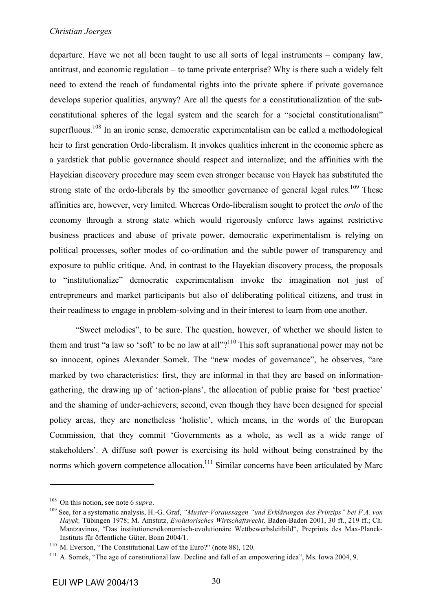#### *Christian Joerges*

departure. Have we not all been taught to use all sorts of legal instruments – company law, antitrust, and economic regulation – to tame private enterprise? Why is there such a widely felt need to extend the reach of fundamental rights into the private sphere if private governance develops superior qualities, anyway? Are all the quests for a constitutionalization of the subconstitutional spheres of the legal system and the search for a "societal constitutionalism" superfluous.<sup>108</sup> In an ironic sense, democratic experimentalism can be called a methodological heir to first generation Ordo-liberalism. It invokes qualities inherent in the economic sphere as a yardstick that public governance should respect and internalize; and the affinities with the Hayekian discovery procedure may seem even stronger because von Hayek has substituted the strong state of the ordo-liberals by the smoother governance of general legal rules.<sup>109</sup> These affinities are, however, very limited. Whereas Ordo-liberalism sought to protect the *ordo* of the economy through a strong state which would rigorously enforce laws against restrictive business practices and abuse of private power, democratic experimentalism is relying on political processes, softer modes of co-ordination and the subtle power of transparency and exposure to public critique. And, in contrast to the Hayekian discovery process, the proposals to "institutionalize" democratic experimentalism invoke the imagination not just of entrepreneurs and market participants but also of deliberating political citizens, and trust in their readiness to engage in problem-solving and in their interest to learn from one another.

"Sweet melodies", to be sure. The question, however, of whether we should listen to them and trust "a law so 'soft' to be no law at all"?<sup>110</sup> This soft supranational power may not be so innocent, opines Alexander Somek. The "new modes of governance", he observes, "are marked by two characteristics: first, they are informal in that they are based on informationgathering, the drawing up of 'action-plans', the allocation of public praise for 'best practice' and the shaming of under-achievers; second, even though they have been designed for special policy areas, they are nonetheless 'holistic', which means, in the words of the European Commission, that they commit 'Governments as a whole, as well as a wide range of stakeholders'. A diffuse soft power is exercising its hold without being constrained by the norms which govern competence allocation.<sup>111</sup> Similar concerns have been articulated by Marc

<sup>108</sup> On this notion, see note 6 *supra*.

<sup>109</sup> See, for a systematic analysis, H.-G. Graf, *"Muster-Voraussagen "und Erklärungen des Prinzips" bei F.A. von Hayek,* Tübingen 1978; M. Amstutz, *Evolutorisches Wirtschaftsrecht,* Baden-Baden 2001, 30 ff., 219 ff.; Ch. Mantzavinos, "Das institutionenökonomisch-evolutionäre Wettbewerbsleitbild", Preprints des Max-Planck-Instituts für öffentliche Güter, Bonn 2004/1.

<sup>110</sup> M. Everson, "The Constitutional Law of the Euro?" (note 88), 120.

<sup>&</sup>lt;sup>111</sup> A. Somek, "The age of constitutional law. Decline and fall of an empowering idea", Ms. Iowa 2004, 9.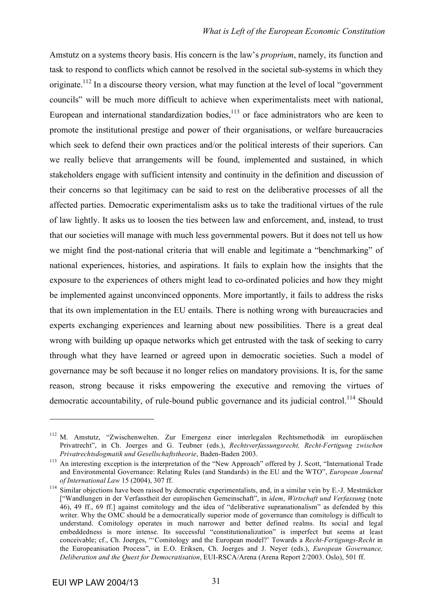Amstutz on a systems theory basis. His concern is the law's *proprium*, namely, its function and task to respond to conflicts which cannot be resolved in the societal sub-systems in which they originate.<sup>112</sup> In a discourse theory version, what may function at the level of local "government" councils" will be much more difficult to achieve when experimentalists meet with national, European and international standardization bodies, $113$  or face administrators who are keen to promote the institutional prestige and power of their organisations, or welfare bureaucracies which seek to defend their own practices and/or the political interests of their superiors. Can we really believe that arrangements will be found, implemented and sustained, in which stakeholders engage with sufficient intensity and continuity in the definition and discussion of their concerns so that legitimacy can be said to rest on the deliberative processes of all the affected parties. Democratic experimentalism asks us to take the traditional virtues of the rule of law lightly. It asks us to loosen the ties between law and enforcement, and, instead, to trust that our societies will manage with much less governmental powers. But it does not tell us how we might find the post-national criteria that will enable and legitimate a "benchmarking" of national experiences, histories, and aspirations. It fails to explain how the insights that the exposure to the experiences of others might lead to co-ordinated policies and how they might be implemented against unconvinced opponents. More importantly, it fails to address the risks that its own implementation in the EU entails. There is nothing wrong with bureaucracies and experts exchanging experiences and learning about new possibilities. There is a great deal wrong with building up opaque networks which get entrusted with the task of seeking to carry through what they have learned or agreed upon in democratic societies. Such a model of governance may be soft because it no longer relies on mandatory provisions. It is, for the same reason, strong because it risks empowering the executive and removing the virtues of democratic accountability, of rule-bound public governance and its judicial control.<sup>114</sup> Should

<sup>112</sup> M. Amstutz, "Zwischenwelten. Zur Emergenz einer interlegalen Rechtsmethodik im europäischen Privatrecht", in Ch. Joerges and G. Teubner (eds.), *Rechtsverfassungsrecht, Recht-Fertigung zwischen Privatrechtsdogmatik und Gesellschaftstheorie*, Baden-Baden 2003.

<sup>&</sup>lt;sup>113</sup> An interesting exception is the interpretation of the "New Approach" offered by J. Scott, "International Trade and Environmental Governance: Relating Rules (and Standards) in the EU and the WTO", *European Journal of International Law* 15 (2004), 307 ff.

<sup>&</sup>lt;sup>114</sup> Similar objections have been raised by democratic experimentalists, and, in a similar vein by E.-J. Mestmäcker ["Wandlungen in der Verfasstheit der europäischen Gemeinschaft", in *idem*, *Wirtschaft und Verfassung* (note 46), 49 ff., 69 ff.] against comitology and the idea of "deliberative supranationalism" as defended by this writer. Why the OMC should be a democratically superior mode of governance than comitology is difficult to understand. Comitology operates in much narrower and better defined realms. Its social and legal embeddedness is more intense. Its successful "constitutionalization" is imperfect but seems at least conceivable; cf., Ch. Joerges, "'Comitology and the European model?' Towards a *Recht-Fertigungs-Recht* in the Europeanisation Process", in E.O. Eriksen, Ch. Joerges and J. Neyer (eds.), *European Governance, Deliberation and the Quest for Democratisation*, EUI-RSCA/Arena (Arena Report 2/2003. Oslo), 501 ff.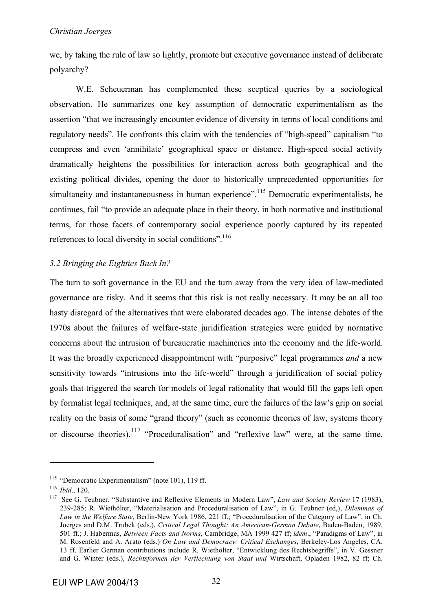we, by taking the rule of law so lightly, promote but executive governance instead of deliberate polyarchy?

W.E. Scheuerman has complemented these sceptical queries by a sociological observation. He summarizes one key assumption of democratic experimentalism as the assertion "that we increasingly encounter evidence of diversity in terms of local conditions and regulatory needs". He confronts this claim with the tendencies of "high-speed" capitalism "to compress and even 'annihilate' geographical space or distance. High-speed social activity dramatically heightens the possibilities for interaction across both geographical and the existing political divides, opening the door to historically unprecedented opportunities for simultaneity and instantaneousness in human experience".<sup>115</sup> Democratic experimentalists, he continues, fail "to provide an adequate place in their theory, in both normative and institutional terms, for those facets of contemporary social experience poorly captured by its repeated references to local diversity in social conditions".<sup>116</sup>

## *3.2 Bringing the Eighties Back In?*

The turn to soft governance in the EU and the turn away from the very idea of law-mediated governance are risky. And it seems that this risk is not really necessary. It may be an all too hasty disregard of the alternatives that were elaborated decades ago. The intense debates of the 1970s about the failures of welfare-state juridification strategies were guided by normative concerns about the intrusion of bureaucratic machineries into the economy and the life-world. It was the broadly experienced disappointment with "purposive" legal programmes *and* a new sensitivity towards "intrusions into the life-world" through a juridification of social policy goals that triggered the search for models of legal rationality that would fill the gaps left open by formalist legal techniques, and, at the same time, cure the failures of the law's grip on social reality on the basis of some "grand theory" (such as economic theories of law, systems theory or discourse theories).<sup>117</sup> "Proceduralisation" and "reflexive law" were, at the same time,

<sup>&</sup>lt;sup>115</sup> "Democratic Experimentalism" (note 101), 119 ff.

<sup>116</sup> *Ibid*., 120.

<sup>117</sup> See G. Teubner, "Substantive and Reflexive Elements in Modern Law", *Law and Society Review* 17 (1983), 239-285; R. Wiethölter, "Materialisation and Proceduralisation of Law", in G. Teubner (ed,), *Dilemmas of Law in the Welfare State*, Berlin-New York 1986, 221 ff.; "Proceduralisation of the Category of Law", in Ch. Joerges and D.M. Trubek (eds.), *Critical Legal Thought: An American-German Debate*, Baden-Baden, 1989, 501 ff.; J. Habermas, *Between Facts and Norms*, Cambridge, MA 1999 427 ff; *idem*., "Paradigms of Law", in M. Rosenfeld and A. Arato (eds.) *On Law and Democracy: Critical Exchanges*, Berkeley-Los Angeles, CA, 13 ff. Earlier German contributions include R. Wiethölter, "Entwicklung des Rechtsbegriffs", in V. Gessner and G. Winter (eds.), *Rechtsformen der Verflechtung von Staat und* Wirtschaft, Opladen 1982, 82 ff; Ch.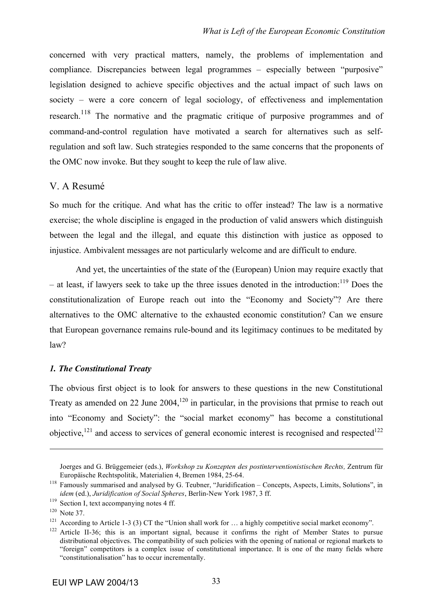concerned with very practical matters, namely, the problems of implementation and compliance. Discrepancies between legal programmes – especially between "purposive" legislation designed to achieve specific objectives and the actual impact of such laws on society – were a core concern of legal sociology, of effectiveness and implementation research.<sup>118</sup> The normative and the pragmatic critique of purposive programmes and of command-and-control regulation have motivated a search for alternatives such as selfregulation and soft law. Such strategies responded to the same concerns that the proponents of the OMC now invoke. But they sought to keep the rule of law alive.

#### V. A Resumé

So much for the critique. And what has the critic to offer instead? The law is a normative exercise; the whole discipline is engaged in the production of valid answers which distinguish between the legal and the illegal, and equate this distinction with justice as opposed to injustice. Ambivalent messages are not particularly welcome and are difficult to endure.

And yet, the uncertainties of the state of the (European) Union may require exactly that – at least, if lawyers seek to take up the three issues denoted in the introduction:<sup>119</sup> Does the constitutionalization of Europe reach out into the "Economy and Society"? Are there alternatives to the OMC alternative to the exhausted economic constitution? Can we ensure that European governance remains rule-bound and its legitimacy continues to be meditated by law?

#### *1. The Constitutional Treaty*

The obvious first object is to look for answers to these questions in the new Constitutional Treaty as amended on 22 June  $2004<sup>120</sup>$  in particular, in the provisions that prmise to reach out into "Economy and Society": the "social market economy" has become a constitutional objective,  $^{121}$  and access to services of general economic interest is recognised and respected  $^{122}$ 

Joerges and G. Brüggemeier (eds.), *Workshop zu Konzepten des postinterventionistischen Rechts,* Zentrum für Europäische Rechtspolitik, Materialien 4, Bremen 1984, 25-64.

<sup>&</sup>lt;sup>118</sup> Famously summarised and analysed by G. Teubner, "Juridification – Concepts, Aspects, Limits, Solutions", in *idem* (ed.), *Juridification of Social Spheres*, Berlin-New York 1987, 3 ff.

<sup>&</sup>lt;sup>119</sup> Section I, text accompanying notes 4 ff.

<sup>&</sup>lt;sup>120</sup> Note 37.

<sup>&</sup>lt;sup>121</sup> According to Article 1-3 (3) CT the "Union shall work for ... a highly competitive social market economy".

<sup>&</sup>lt;sup>122</sup> Article II-36: this is an important signal, because it confirms the right of Member States to pursue distributional objectives. The compatibility of such policies with the opening of national or regional markets to "foreign" competitors is a complex issue of constitutional importance. It is one of the many fields where "constitutionalisation" has to occur incrementally.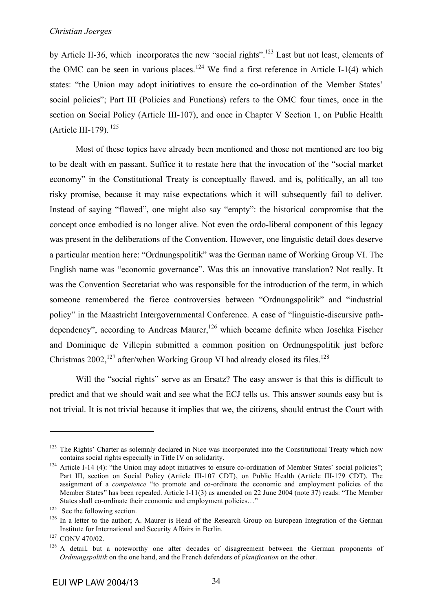by Article II-36, which incorporates the new "social rights".<sup>123</sup> Last but not least, elements of the OMC can be seen in various places.<sup>124</sup> We find a first reference in Article I-1(4) which states: "the Union may adopt initiatives to ensure the co-ordination of the Member States' social policies"; Part III (Policies and Functions) refers to the OMC four times, once in the section on Social Policy (Article III-107), and once in Chapter V Section 1, on Public Health (Article III-179).<sup>125</sup>

Most of these topics have already been mentioned and those not mentioned are too big to be dealt with en passant. Suffice it to restate here that the invocation of the "social market economy" in the Constitutional Treaty is conceptually flawed, and is, politically, an all too risky promise, because it may raise expectations which it will subsequently fail to deliver. Instead of saying "flawed", one might also say "empty": the historical compromise that the concept once embodied is no longer alive. Not even the ordo-liberal component of this legacy was present in the deliberations of the Convention. However, one linguistic detail does deserve a particular mention here: "Ordnungspolitik" was the German name of Working Group VI. The English name was "economic governance". Was this an innovative translation? Not really. It was the Convention Secretariat who was responsible for the introduction of the term, in which someone remembered the fierce controversies between "Ordnungspolitik" and "industrial policy" in the Maastricht Intergovernmental Conference. A case of "linguistic-discursive pathdependency", according to Andreas Maurer,  $^{126}$  which became definite when Joschka Fischer and Dominique de Villepin submitted a common position on Ordnungspolitik just before Christmas  $2002$ ,  $^{127}$  after/when Working Group VI had already closed its files.  $^{128}$ 

Will the "social rights" serve as an Ersatz? The easy answer is that this is difficult to predict and that we should wait and see what the ECJ tells us. This answer sounds easy but is not trivial. It is not trivial because it implies that we, the citizens, should entrust the Court with

<sup>&</sup>lt;sup>123</sup> The Rights' Charter as solemnly declared in Nice was incorporated into the Constitutional Treaty which now contains social rights especially in Title IV on solidarity.

<sup>&</sup>lt;sup>124</sup> Article I-14 (4): "the Union may adopt initiatives to ensure co-ordination of Member States' social policies"; Part III, section on Social Policy (Article III-107 CDT), on Public Health (Article III-179 CDT). The assignment of a *competence* "to promote and co-ordinate the economic and employment policies of the Member States" has been repealed. Article I-11(3) as amended on 22 June 2004 (note 37) reads: "The Member States shall co-ordinate their economic and employment policies…"

 $125$  See the following section.

<sup>&</sup>lt;sup>126</sup> In a letter to the author; A. Maurer is Head of the Research Group on European Integration of the German Institute for International and Security Affairs in Berlin.

<sup>127</sup> CONV 470/02.

<sup>&</sup>lt;sup>128</sup> A detail, but a noteworthy one after decades of disagreement between the German proponents of *Ordnungspolitik* on the one hand, and the French defenders of *planification* on the other.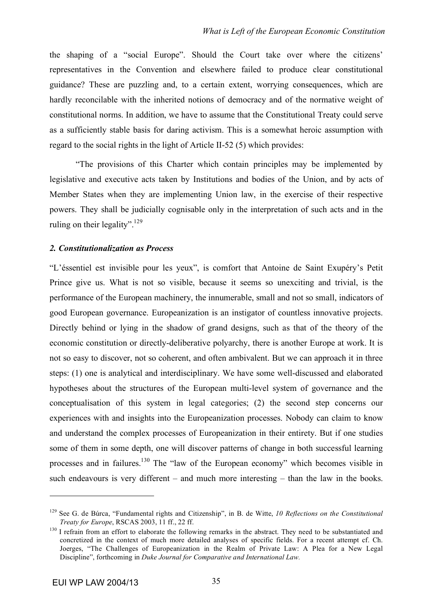the shaping of a "social Europe". Should the Court take over where the citizens' representatives in the Convention and elsewhere failed to produce clear constitutional guidance? These are puzzling and, to a certain extent, worrying consequences, which are hardly reconcilable with the inherited notions of democracy and of the normative weight of constitutional norms. In addition, we have to assume that the Constitutional Treaty could serve as a sufficiently stable basis for daring activism. This is a somewhat heroic assumption with regard to the social rights in the light of Article II-52 (5) which provides:

"The provisions of this Charter which contain principles may be implemented by legislative and executive acts taken by Institutions and bodies of the Union, and by acts of Member States when they are implementing Union law, in the exercise of their respective powers. They shall be judicially cognisable only in the interpretation of such acts and in the ruling on their legality".<sup>129</sup>

#### *2. Constitutionalization as Process*

"L'éssentiel est invisible pour les yeux", is comfort that Antoine de Saint Exupéry's Petit Prince give us. What is not so visible, because it seems so unexciting and trivial, is the performance of the European machinery, the innumerable, small and not so small, indicators of good European governance. Europeanization is an instigator of countless innovative projects. Directly behind or lying in the shadow of grand designs, such as that of the theory of the economic constitution or directly-deliberative polyarchy, there is another Europe at work. It is not so easy to discover, not so coherent, and often ambivalent. But we can approach it in three steps: (1) one is analytical and interdisciplinary. We have some well-discussed and elaborated hypotheses about the structures of the European multi-level system of governance and the conceptualisation of this system in legal categories; (2) the second step concerns our experiences with and insights into the Europeanization processes. Nobody can claim to know and understand the complex processes of Europeanization in their entirety. But if one studies some of them in some depth, one will discover patterns of change in both successful learning processes and in failures.<sup>130</sup> The "law of the European economy" which becomes visible in such endeavours is very different – and much more interesting – than the law in the books.

<sup>129</sup> See G. de Búrca, "Fundamental rights and Citizenship", in B. de Witte, *10 Reflections on the Constitutional Treaty for Europe*, RSCAS 2003, 11 ff., 22 ff.

<sup>&</sup>lt;sup>130</sup> I refrain from an effort to elaborate the following remarks in the abstract. They need to be substantiated and concretized in the context of much more detailed analyses of specific fields. For a recent attempt cf. Ch. Joerges, "The Challenges of Europeanization in the Realm of Private Law: A Plea for a New Legal Discipline", forthcoming in *Duke Journal for Comparative and International Law.*